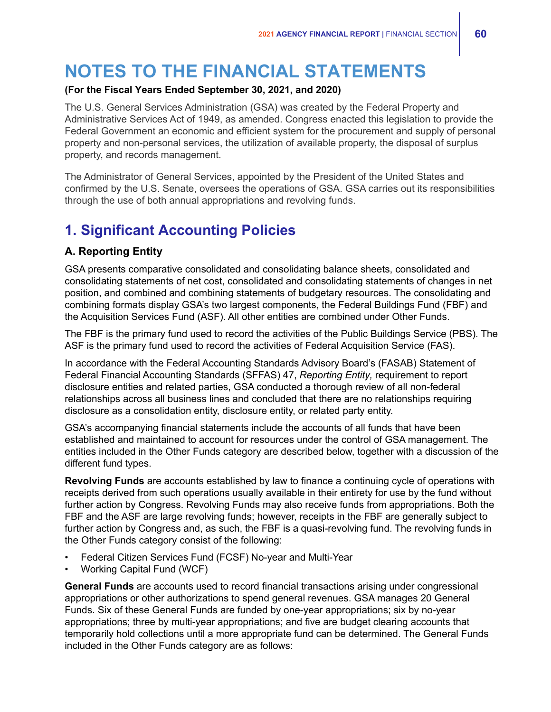# **NOTES TO THE FINANCIAL STATEMENTS**

### **(For the Fiscal Years Ended September 30, 2021, and 2020)**

The U.S. General Services Administration (GSA) was created by the Federal Property and Administrative Services Act of 1949, as amended. Congress enacted this legislation to provide the Federal Government an economic and efficient system for the procurement and supply of personal property and non-personal services, the utilization of available property, the disposal of surplus property, and records management.

The Administrator of General Services, appointed by the President of the United States and confirmed by the U.S. Senate, oversees the operations of GSA. GSA carries out its responsibilities through the use of both annual appropriations and revolving funds.

# **1. Significant Accounting Policies**

### **A. Reporting Entity**

GSA presents comparative consolidated and consolidating balance sheets, consolidated and consolidating statements of net cost, consolidated and consolidating statements of changes in net position, and combined and combining statements of budgetary resources. The consolidating and combining formats display GSA's two largest components, the Federal Buildings Fund (FBF) and the Acquisition Services Fund (ASF). All other entities are combined under Other Funds.

The FBF is the primary fund used to record the activities of the Public Buildings Service (PBS). The ASF is the primary fund used to record the activities of Federal Acquisition Service (FAS).

In accordance with the Federal Accounting Standards Advisory Board's (FASAB) Statement of Federal Financial Accounting Standards (SFFAS) 47, *Reporting Entity,* requirement to report disclosure entities and related parties, GSA conducted a thorough review of all non-federal relationships across all business lines and concluded that there are no relationships requiring disclosure as a consolidation entity, disclosure entity, or related party entity.

GSA's accompanying financial statements include the accounts of all funds that have been established and maintained to account for resources under the control of GSA management. The entities included in the Other Funds category are described below, together with a discussion of the different fund types.

**Revolving Funds** are accounts established by law to finance a continuing cycle of operations with receipts derived from such operations usually available in their entirety for use by the fund without further action by Congress. Revolving Funds may also receive funds from appropriations. Both the FBF and the ASF are large revolving funds; however, receipts in the FBF are generally subject to further action by Congress and, as such, the FBF is a quasi-revolving fund. The revolving funds in the Other Funds category consist of the following:

- Federal Citizen Services Fund (FCSF) No-year and Multi-Year
- Working Capital Fund (WCF)

**General Funds** are accounts used to record financial transactions arising under congressional appropriations or other authorizations to spend general revenues. GSA manages 20 General Funds. Six of these General Funds are funded by one-year appropriations; six by no-year appropriations; three by multi-year appropriations; and five are budget clearing accounts that temporarily hold collections until a more appropriate fund can be determined. The General Funds included in the Other Funds category are as follows: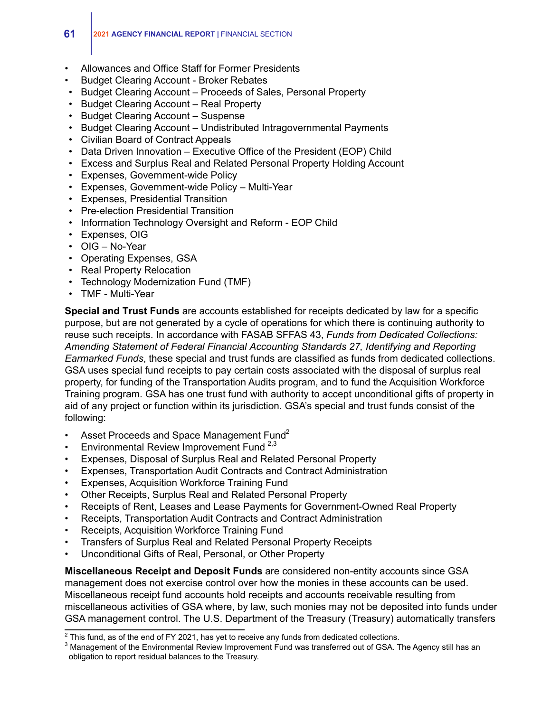- Allowances and Office Staff for Former Presidents
- Budget Clearing Account Broker Rebates
- Budget Clearing Account Proceeds of Sales, Personal Property
- Budget Clearing Account Real Property
- Budget Clearing Account Suspense
- Budget Clearing Account Undistributed Intragovernmental Payments
- Civilian Board of Contract Appeals
- Data Driven Innovation Executive Office of the President (EOP) Child
- Excess and Surplus Real and Related Personal Property Holding Account
- Expenses, Government-wide Policy
- Expenses, Government-wide Policy Multi-Year
- Expenses, Presidential Transition
- Pre-election Presidential Transition
- Information Technology Oversight and Reform EOP Child
- Expenses, OIG
- OIG No-Year
- Operating Expenses, GSA
- Real Property Relocation
- Technology Modernization Fund (TMF)
- TMF Multi-Year

**Special and Trust Funds** are accounts established for receipts dedicated by law for a specific purpose, but are not generated by a cycle of operations for which there is continuing authority to reuse such receipts. In accordance with FASAB SFFAS 43, *Funds from Dedicated Collections: Amending Statement of Federal Financial Accounting Standards 27, Identifying and Reporting Earmarked Funds*, these special and trust funds are classified as funds from dedicated collections. GSA uses special fund receipts to pay certain costs associated with the disposal of surplus real property, for funding of the Transportation Audits program, and to fund the Acquisition Workforce Training program. GSA has one trust fund with authority to accept unconditional gifts of property in aid of any project or function within its jurisdiction. GSA's special and trust funds consist of the following:

- Asset Proceeds and Space Management Fund<sup>2</sup>
- **•** Environmental Review Improvement Fund  $2,3$
- Expenses, Disposal of Surplus Real and Related Personal Property
- Expenses, Transportation Audit Contracts and Contract Administration
- Expenses, Acquisition Workforce Training Fund
- Other Receipts, Surplus Real and Related Personal Property
- Receipts of Rent, Leases and Lease Payments for Government-Owned Real Property
- Receipts, Transportation Audit Contracts and Contract Administration
- Receipts, Acquisition Workforce Training Fund
- Transfers of Surplus Real and Related Personal Property Receipts
- Unconditional Gifts of Real, Personal, or Other Property

**Miscellaneous Receipt and Deposit Funds** are considered non-entity accounts since GSA management does not exercise control over how the monies in these accounts can be used. Miscellaneous receipt fund accounts hold receipts and accounts receivable resulting from miscellaneous activities of GSA where, by law, such monies may not be deposited into funds under GSA management control. The U.S. Department of the Treasury (Treasury) automatically transfers

 $2$  This fund, as of the end of FY 2021, has yet to receive any funds from dedicated collections.

<sup>&</sup>lt;sup>3</sup> Management of the Environmental Review Improvement Fund was transferred out of GSA. The Agency still has an obligation to report residual balances to the Treasury.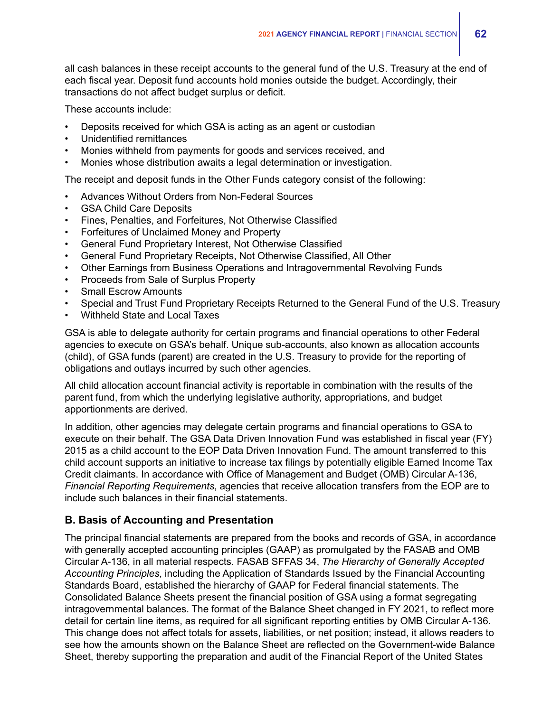all cash balances in these receipt accounts to the general fund of the U.S. Treasury at the end of each fiscal year. Deposit fund accounts hold monies outside the budget. Accordingly, their transactions do not affect budget surplus or deficit.

These accounts include:

- Deposits received for which GSA is acting as an agent or custodian
- Unidentified remittances
- Monies withheld from payments for goods and services received, and
- Monies whose distribution awaits a legal determination or investigation.

The receipt and deposit funds in the Other Funds category consist of the following:

- Advances Without Orders from Non-Federal Sources
- GSA Child Care Deposits
- Fines, Penalties, and Forfeitures, Not Otherwise Classified
- Forfeitures of Unclaimed Money and Property
- General Fund Proprietary Interest, Not Otherwise Classified
- General Fund Proprietary Receipts, Not Otherwise Classified, All Other
- Other Earnings from Business Operations and Intragovernmental Revolving Funds
- Proceeds from Sale of Surplus Property
- **Small Escrow Amounts**
- Special and Trust Fund Proprietary Receipts Returned to the General Fund of the U.S. Treasury
- Withheld State and Local Taxes

GSA is able to delegate authority for certain programs and financial operations to other Federal agencies to execute on GSA's behalf. Unique sub-accounts, also known as allocation accounts (child), of GSA funds (parent) are created in the U.S. Treasury to provide for the reporting of obligations and outlays incurred by such other agencies.

All child allocation account financial activity is reportable in combination with the results of the parent fund, from which the underlying legislative authority, appropriations, and budget apportionments are derived.

In addition, other agencies may delegate certain programs and financial operations to GSA to execute on their behalf. The GSA Data Driven Innovation Fund was established in fiscal year (FY) 2015 as a child account to the EOP Data Driven Innovation Fund. The amount transferred to this child account supports an initiative to increase tax filings by potentially eligible Earned Income Tax Credit claimants. In accordance with Office of Management and Budget (OMB) Circular A-136, *Financial Reporting Requirements*, agencies that receive allocation transfers from the EOP are to include such balances in their financial statements.

### **B. Basis of Accounting and Presentation**

The principal financial statements are prepared from the books and records of GSA, in accordance with generally accepted accounting principles (GAAP) as promulgated by the FASAB and OMB Circular A-136, in all material respects. FASAB SFFAS 34, *The Hierarchy of Generally Accepted Accounting Principles*, including the Application of Standards Issued by the Financial Accounting Standards Board, established the hierarchy of GAAP for Federal financial statements. The Consolidated Balance Sheets present the financial position of GSA using a format segregating intragovernmental balances. The format of the Balance Sheet changed in FY 2021, to reflect more detail for certain line items, as required for all significant reporting entities by OMB Circular A-136. This change does not affect totals for assets, liabilities, or net position; instead, it allows readers to see how the amounts shown on the Balance Sheet are reflected on the Government-wide Balance Sheet, thereby supporting the preparation and audit of the Financial Report of the United States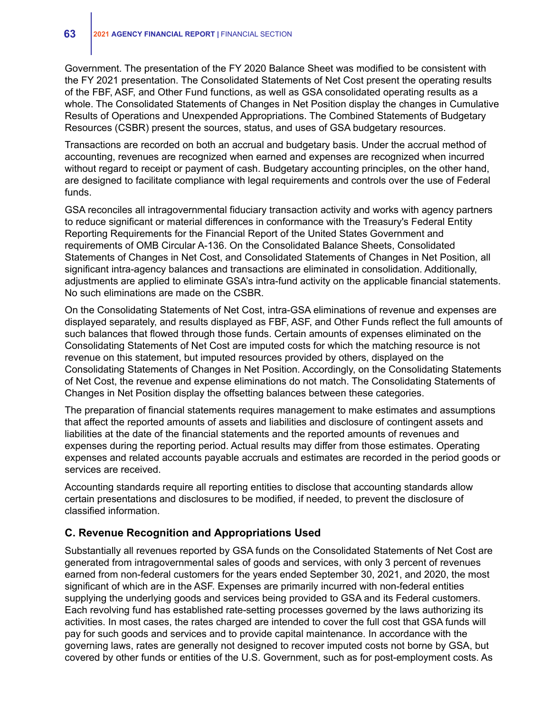Government. The presentation of the FY 2020 Balance Sheet was modified to be consistent with the FY 2021 presentation. The Consolidated Statements of Net Cost present the operating results of the FBF, ASF, and Other Fund functions, as well as GSA consolidated operating results as a whole. The Consolidated Statements of Changes in Net Position display the changes in Cumulative Results of Operations and Unexpended Appropriations. The Combined Statements of Budgetary Resources (CSBR) present the sources, status, and uses of GSA budgetary resources.

Transactions are recorded on both an accrual and budgetary basis. Under the accrual method of accounting, revenues are recognized when earned and expenses are recognized when incurred without regard to receipt or payment of cash. Budgetary accounting principles, on the other hand, are designed to facilitate compliance with legal requirements and controls over the use of Federal funds.

GSA reconciles all intragovernmental fiduciary transaction activity and works with agency partners to reduce significant or material differences in conformance with the Treasury's Federal Entity Reporting Requirements for the Financial Report of the United States Government and requirements of OMB Circular A-136. On the Consolidated Balance Sheets, Consolidated Statements of Changes in Net Cost, and Consolidated Statements of Changes in Net Position, all significant intra-agency balances and transactions are eliminated in consolidation. Additionally, adjustments are applied to eliminate GSA's intra-fund activity on the applicable financial statements. No such eliminations are made on the CSBR.

On the Consolidating Statements of Net Cost, intra-GSA eliminations of revenue and expenses are displayed separately, and results displayed as FBF, ASF, and Other Funds reflect the full amounts of such balances that flowed through those funds. Certain amounts of expenses eliminated on the Consolidating Statements of Net Cost are imputed costs for which the matching resource is not revenue on this statement, but imputed resources provided by others, displayed on the Consolidating Statements of Changes in Net Position. Accordingly, on the Consolidating Statements of Net Cost, the revenue and expense eliminations do not match. The Consolidating Statements of Changes in Net Position display the offsetting balances between these categories.

The preparation of financial statements requires management to make estimates and assumptions that affect the reported amounts of assets and liabilities and disclosure of contingent assets and liabilities at the date of the financial statements and the reported amounts of revenues and expenses during the reporting period. Actual results may differ from those estimates. Operating expenses and related accounts payable accruals and estimates are recorded in the period goods or services are received.

Accounting standards require all reporting entities to disclose that accounting standards allow certain presentations and disclosures to be modified, if needed, to prevent the disclosure of classified information.

### **C. Revenue Recognition and Appropriations Used**

Substantially all revenues reported by GSA funds on the Consolidated Statements of Net Cost are generated from intragovernmental sales of goods and services, with only 3 percent of revenues earned from non-federal customers for the years ended September 30, 2021, and 2020, the most significant of which are in the ASF. Expenses are primarily incurred with non-federal entities supplying the underlying goods and services being provided to GSA and its Federal customers. Each revolving fund has established rate-setting processes governed by the laws authorizing its activities. In most cases, the rates charged are intended to cover the full cost that GSA funds will pay for such goods and services and to provide capital maintenance. In accordance with the governing laws, rates are generally not designed to recover imputed costs not borne by GSA, but covered by other funds or entities of the U.S. Government, such as for post-employment costs. As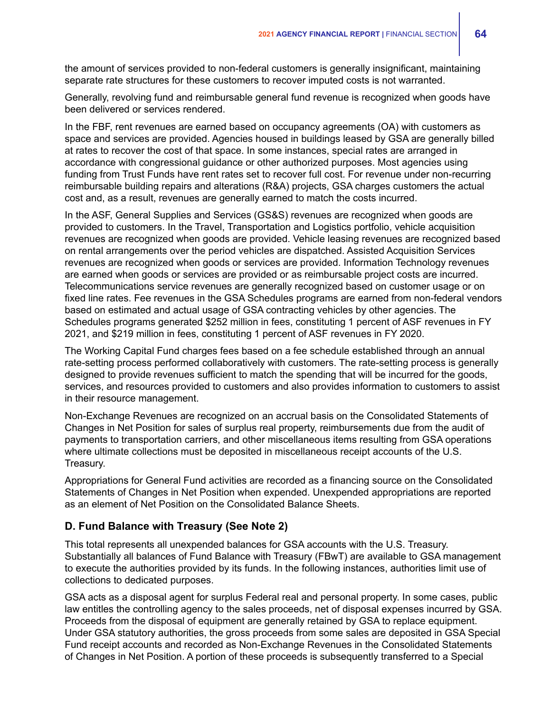the amount of services provided to non-federal customers is generally insignificant, maintaining separate rate structures for these customers to recover imputed costs is not warranted.

Generally, revolving fund and reimbursable general fund revenue is recognized when goods have been delivered or services rendered.

In the FBF, rent revenues are earned based on occupancy agreements (OA) with customers as space and services are provided. Agencies housed in buildings leased by GSA are generally billed at rates to recover the cost of that space. In some instances, special rates are arranged in accordance with congressional guidance or other authorized purposes. Most agencies using funding from Trust Funds have rent rates set to recover full cost. For revenue under non-recurring reimbursable building repairs and alterations (R&A) projects, GSA charges customers the actual cost and, as a result, revenues are generally earned to match the costs incurred.

In the ASF, General Supplies and Services (GS&S) revenues are recognized when goods are provided to customers. In the Travel, Transportation and Logistics portfolio, vehicle acquisition revenues are recognized when goods are provided. Vehicle leasing revenues are recognized based on rental arrangements over the period vehicles are dispatched. Assisted Acquisition Services revenues are recognized when goods or services are provided. Information Technology revenues are earned when goods or services are provided or as reimbursable project costs are incurred. Telecommunications service revenues are generally recognized based on customer usage or on fixed line rates. Fee revenues in the GSA Schedules programs are earned from non-federal vendors based on estimated and actual usage of GSA contracting vehicles by other agencies. The Schedules programs generated \$252 million in fees, constituting 1 percent of ASF revenues in FY 2021, and \$219 million in fees, constituting 1 percent of ASF revenues in FY 2020.

The Working Capital Fund charges fees based on a fee schedule established through an annual rate-setting process performed collaboratively with customers. The rate-setting process is generally designed to provide revenues sufficient to match the spending that will be incurred for the goods, services, and resources provided to customers and also provides information to customers to assist in their resource management.

Non-Exchange Revenues are recognized on an accrual basis on the Consolidated Statements of Changes in Net Position for sales of surplus real property, reimbursements due from the audit of payments to transportation carriers, and other miscellaneous items resulting from GSA operations where ultimate collections must be deposited in miscellaneous receipt accounts of the U.S. Treasury.

Appropriations for General Fund activities are recorded as a financing source on the Consolidated Statements of Changes in Net Position when expended. Unexpended appropriations are reported as an element of Net Position on the Consolidated Balance Sheets.

### **D. Fund Balance with Treasury (See Note 2)**

This total represents all unexpended balances for GSA accounts with the U.S. Treasury. Substantially all balances of Fund Balance with Treasury (FBwT) are available to GSA management to execute the authorities provided by its funds. In the following instances, authorities limit use of collections to dedicated purposes.

GSA acts as a disposal agent for surplus Federal real and personal property. In some cases, public law entitles the controlling agency to the sales proceeds, net of disposal expenses incurred by GSA. Proceeds from the disposal of equipment are generally retained by GSA to replace equipment. Under GSA statutory authorities, the gross proceeds from some sales are deposited in GSA Special Fund receipt accounts and recorded as Non-Exchange Revenues in the Consolidated Statements of Changes in Net Position. A portion of these proceeds is subsequently transferred to a Special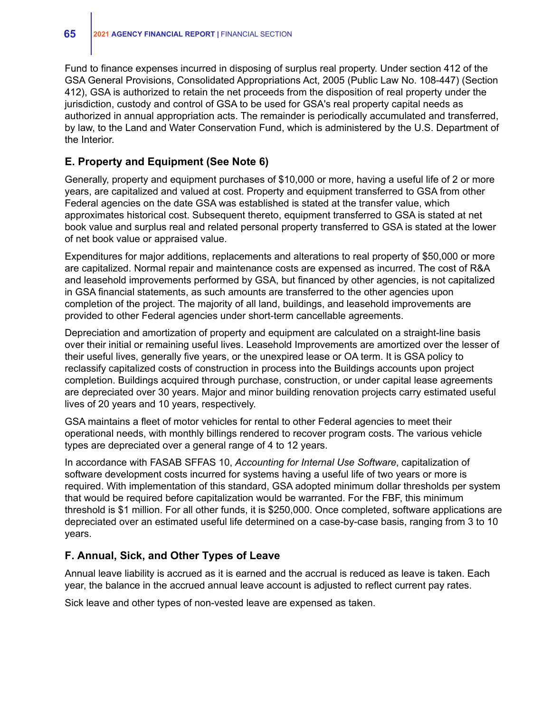Fund to finance expenses incurred in disposing of surplus real property. Under section 412 of the GSA General Provisions, Consolidated Appropriations Act, 2005 (Public Law No. 108-447) (Section 412), GSA is authorized to retain the net proceeds from the disposition of real property under the jurisdiction, custody and control of GSA to be used for GSA's real property capital needs as authorized in annual appropriation acts. The remainder is periodically accumulated and transferred, by law, to the Land and Water Conservation Fund, which is administered by the U.S. Department of the Interior.

### **E. Property and Equipment (See Note 6)**

Generally, property and equipment purchases of \$10,000 or more, having a useful life of 2 or more years, are capitalized and valued at cost. Property and equipment transferred to GSA from other Federal agencies on the date GSA was established is stated at the transfer value, which approximates historical cost. Subsequent thereto, equipment transferred to GSA is stated at net book value and surplus real and related personal property transferred to GSA is stated at the lower of net book value or appraised value.

Expenditures for major additions, replacements and alterations to real property of \$50,000 or more are capitalized. Normal repair and maintenance costs are expensed as incurred. The cost of R&A and leasehold improvements performed by GSA, but financed by other agencies, is not capitalized in GSA financial statements, as such amounts are transferred to the other agencies upon completion of the project. The majority of all land, buildings, and leasehold improvements are provided to other Federal agencies under short-term cancellable agreements.

Depreciation and amortization of property and equipment are calculated on a straight-line basis over their initial or remaining useful lives. Leasehold Improvements are amortized over the lesser of their useful lives, generally five years, or the unexpired lease or OA term. It is GSA policy to reclassify capitalized costs of construction in process into the Buildings accounts upon project completion. Buildings acquired through purchase, construction, or under capital lease agreements are depreciated over 30 years. Major and minor building renovation projects carry estimated useful lives of 20 years and 10 years, respectively.

GSA maintains a fleet of motor vehicles for rental to other Federal agencies to meet their operational needs, with monthly billings rendered to recover program costs. The various vehicle types are depreciated over a general range of 4 to 12 years.

In accordance with FASAB SFFAS 10, *Accounting for Internal Use Software*, capitalization of software development costs incurred for systems having a useful life of two years or more is required. With implementation of this standard, GSA adopted minimum dollar thresholds per system that would be required before capitalization would be warranted. For the FBF, this minimum threshold is \$1 million. For all other funds, it is \$250,000. Once completed, software applications are depreciated over an estimated useful life determined on a case-by-case basis, ranging from 3 to 10 years.

### **F. Annual, Sick, and Other Types of Leave**

Annual leave liability is accrued as it is earned and the accrual is reduced as leave is taken. Each year, the balance in the accrued annual leave account is adjusted to reflect current pay rates.

Sick leave and other types of non-vested leave are expensed as taken.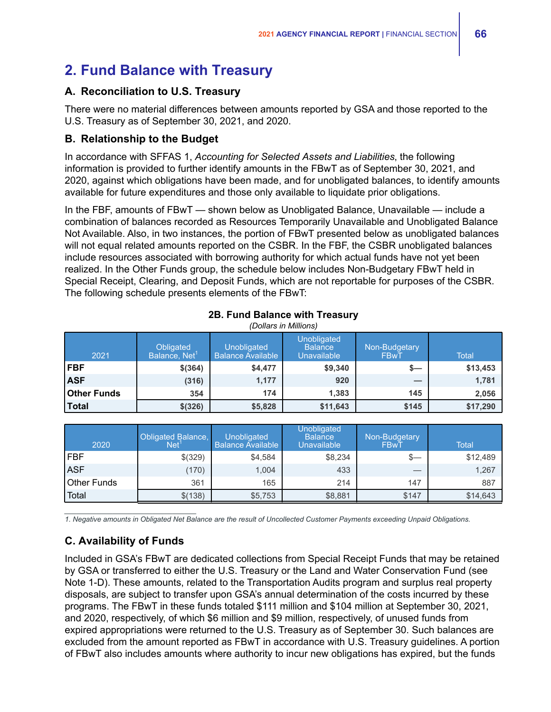# **2. Fund Balance with Treasury**

### **A. Reconciliation to U.S. Treasury**

There were no material differences between amounts reported by GSA and those reported to the U.S. Treasury as of September 30, 2021, and 2020.

### **B. Relationship to the Budget**

In accordance with SFFAS 1, *Accounting for Selected Assets and Liabilities*, the following information is provided to further identify amounts in the FBwT as of September 30, 2021, and 2020, against which obligations have been made, and for unobligated balances, to identify amounts available for future expenditures and those only available to liquidate prior obligations.

In the FBF, amounts of FBwT — shown below as Unobligated Balance, Unavailable — include a combination of balances recorded as Resources Temporarily Unavailable and Unobligated Balance Not Available. Also, in two instances, the portion of FBwT presented below as unobligated balances will not equal related amounts reported on the CSBR. In the FBF, the CSBR unobligated balances include resources associated with borrowing authority for which actual funds have not yet been realized. In the Other Funds group, the schedule below includes Non-Budgetary FBwT held in Special Receipt, Clearing, and Deposit Funds, which are not reportable for purposes of the CSBR. The following schedule presents elements of the FBwT:

| וטווטווויוויווויט שו |                                        |                                                |                                                     |                       |              |  |  |  |  |  |
|----------------------|----------------------------------------|------------------------------------------------|-----------------------------------------------------|-----------------------|--------------|--|--|--|--|--|
| 2021                 | Obligated<br>Balance, Net <sup>1</sup> | <b>Unobligated</b><br><b>Balance Available</b> | Unobligated<br><b>Balance</b><br><b>Unavailable</b> | Non-Budgetary<br>FBwT | <b>Total</b> |  |  |  |  |  |
| <b>FBF</b>           | \$(364)                                | \$4,477                                        | \$9,340                                             | $s-$                  | \$13,453     |  |  |  |  |  |
| <b>ASF</b>           | (316)                                  | 1,177                                          | 920                                                 |                       | 1,781        |  |  |  |  |  |
| <b>Other Funds</b>   | 354                                    | 174                                            | 1,383                                               | 145                   | 2,056        |  |  |  |  |  |
| <b>Total</b>         | \$ (326)                               | \$5,828                                        | \$11,643                                            | \$145                 | \$17,290     |  |  |  |  |  |

### **2B. Fund Balance with Treasury** *(Dollars in Millions)*

| 2020        | Obligated Balance,<br>Net' | Unobligated<br>Balance Available | <b>Unobligated</b><br><b>Balance</b><br><b>Unavailable</b> | Non-Budgetary<br>FBwT | <b>Total</b> |
|-------------|----------------------------|----------------------------------|------------------------------------------------------------|-----------------------|--------------|
| l FBF       | \$(329)                    | \$4,584                          | \$8,234                                                    | $s-$                  | \$12,489     |
| <b>ASF</b>  | (170)                      | 1,004                            | 433                                                        |                       | 1,267        |
| Other Funds | 361                        | 165                              | 214                                                        | 147                   | 887          |
| Total       | \$(138)                    | \$5,753                          | \$8,881                                                    | \$147                 | \$14,643     |

*1. Negative amounts in Obligated Net Balance are the result of Uncollected Customer Payments exceeding Unpaid Obligations.*

## **C. Availability of Funds**

*\_\_\_\_\_\_\_\_\_\_\_\_\_\_\_\_\_\_\_\_\_\_\_\_\_\_\_\_\_\_\_\_\_*

Included in GSA's FBwT are dedicated collections from Special Receipt Funds that may be retained by GSA or transferred to either the U.S. Treasury or the Land and Water Conservation Fund (see Note 1-D). These amounts, related to the Transportation Audits program and surplus real property disposals, are subject to transfer upon GSA's annual determination of the costs incurred by these programs. The FBwT in these funds totaled \$111 million and \$104 million at September 30, 2021, and 2020, respectively, of which \$6 million and \$9 million, respectively, of unused funds from expired appropriations were returned to the U.S. Treasury as of September 30. Such balances are excluded from the amount reported as FBwT in accordance with U.S. Treasury guidelines. A portion of FBwT also includes amounts where authority to incur new obligations has expired, but the funds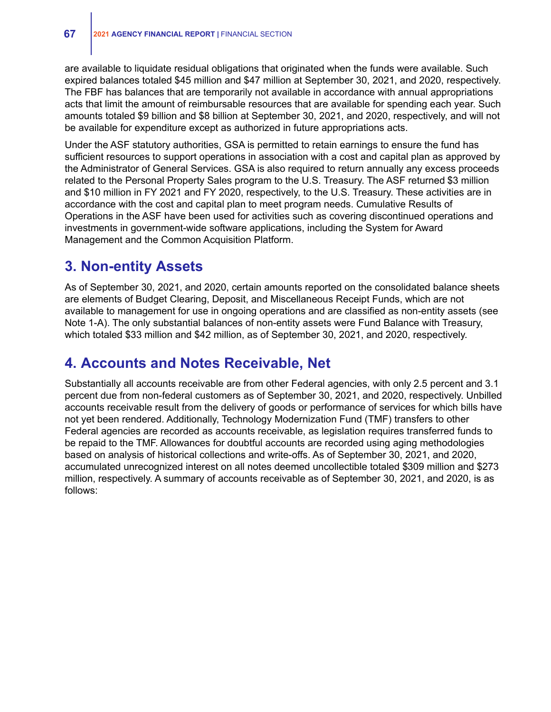are available to liquidate residual obligations that originated when the funds were available. Such expired balances totaled \$45 million and \$47 million at September 30, 2021, and 2020, respectively. The FBF has balances that are temporarily not available in accordance with annual appropriations acts that limit the amount of reimbursable resources that are available for spending each year. Such amounts totaled \$9 billion and \$8 billion at September 30, 2021, and 2020, respectively, and will not be available for expenditure except as authorized in future appropriations acts.

Under the ASF statutory authorities, GSA is permitted to retain earnings to ensure the fund has sufficient resources to support operations in association with a cost and capital plan as approved by the Administrator of General Services. GSA is also required to return annually any excess proceeds related to the Personal Property Sales program to the U.S. Treasury. The ASF returned \$3 million and \$10 million in FY 2021 and FY 2020, respectively, to the U.S. Treasury. These activities are in accordance with the cost and capital plan to meet program needs. Cumulative Results of Operations in the ASF have been used for activities such as covering discontinued operations and investments in government-wide software applications, including the System for Award Management and the Common Acquisition Platform.

## **3. Non-entity Assets**

As of September 30, 2021, and 2020, certain amounts reported on the consolidated balance sheets are elements of Budget Clearing, Deposit, and Miscellaneous Receipt Funds, which are not available to management for use in ongoing operations and are classified as non-entity assets (see Note 1-A). The only substantial balances of non-entity assets were Fund Balance with Treasury, which totaled \$33 million and \$42 million, as of September 30, 2021, and 2020, respectively.

## **4. Accounts and Notes Receivable, Net**

Substantially all accounts receivable are from other Federal agencies, with only 2.5 percent and 3.1 percent due from non-federal customers as of September 30, 2021, and 2020, respectively. Unbilled accounts receivable result from the delivery of goods or performance of services for which bills have not yet been rendered. Additionally, Technology Modernization Fund (TMF) transfers to other Federal agencies are recorded as accounts receivable, as legislation requires transferred funds to be repaid to the TMF. Allowances for doubtful accounts are recorded using aging methodologies based on analysis of historical collections and write-offs. As of September 30, 2021, and 2020, accumulated unrecognized interest on all notes deemed uncollectible totaled \$309 million and \$273 million, respectively. A summary of accounts receivable as of September 30, 2021, and 2020, is as follows: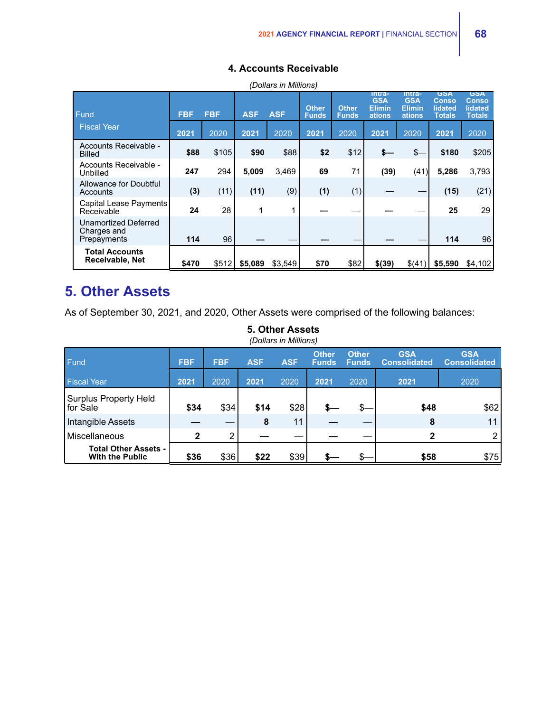| (Dollars in Millions)                              |            |            |            |            |                              |                              |                                                 |                                                 |                                          |                                                        |
|----------------------------------------------------|------------|------------|------------|------------|------------------------------|------------------------------|-------------------------------------------------|-------------------------------------------------|------------------------------------------|--------------------------------------------------------|
| Fund                                               | <b>FBF</b> | <b>FBF</b> | <b>ASF</b> | <b>ASF</b> | <b>Other</b><br><b>Funds</b> | <b>Other</b><br><b>Funds</b> | Intra-<br><b>GSA</b><br><b>Elimin</b><br>ations | Intra-<br><b>GSA</b><br><b>Elimin</b><br>ations | GSA<br>Conso<br>lidated<br><b>Totals</b> | <b>GSA</b><br><b>Conso</b><br>lidated<br><b>Totals</b> |
| <b>Fiscal Year</b>                                 | 2021       | 2020       | 2021       | 2020       | 2021                         | 2020                         | 2021                                            | 2020                                            | 2021                                     | 2020                                                   |
| Accounts Receivable -<br>Billed                    | \$88       | \$105      | \$90       | \$88       | \$2                          | \$12                         | s—                                              | \$—                                             | \$180                                    | \$205                                                  |
| Accounts Receivable -<br>Unbilled                  | 247        | 294        | 5,009      | 3.469      | 69                           | 71                           | (39)                                            | (41)                                            | 5,286                                    | 3,793                                                  |
| Allowance for Doubtful<br>Accounts                 | (3)        | (11)       | (11)       | (9)        | (1)                          | (1)                          |                                                 |                                                 | (15)                                     | (21)                                                   |
| Capital Lease Payments<br>Receivable               | 24         | 28         | 1          |            |                              |                              |                                                 |                                                 | 25                                       | 29                                                     |
| Unamortized Deferred<br>Charges and<br>Prepayments | 114        | 96         |            |            |                              |                              |                                                 |                                                 | 114                                      | 96                                                     |
| <b>Total Accounts</b><br>Receivable, Net           | \$470      | \$512      | \$5,089    | \$3,549    | \$70                         | \$82                         | \$(39)                                          | \$(41)                                          | \$5,590                                  | \$4,102                                                |

### **4. Accounts Receivable**

## **5. Other Assets**

As of September 30, 2021, and 2020, Other Assets were comprised of the following balances:

| (Dollars in Millions)                                 |              |                          |      |            |                              |                              |                                   |                                   |  |  |
|-------------------------------------------------------|--------------|--------------------------|------|------------|------------------------------|------------------------------|-----------------------------------|-----------------------------------|--|--|
| <b>Fund</b>                                           | <b>FBF</b>   | <b>FBF</b><br><b>ASF</b> |      | <b>ASF</b> | <b>Other</b><br><b>Funds</b> | <b>Other</b><br><b>Funds</b> | <b>GSA</b><br><b>Consolidated</b> | <b>GSA</b><br><b>Consolidated</b> |  |  |
| <b>Fiscal Year</b>                                    | 2021         | 2020                     | 2021 | 2020       | 2021                         | 2020                         | 2021                              | 2020                              |  |  |
| Surplus Property Held<br>for Sale                     | \$34         | \$34                     | \$14 | \$28       |                              |                              | \$48                              | \$62                              |  |  |
| Intangible Assets                                     |              | __                       | 8    | 11         |                              |                              | 8                                 | 11                                |  |  |
| l Miscellaneous                                       | $\mathbf{2}$ | 2                        |      |            |                              |                              | $\overline{2}$                    | 2                                 |  |  |
| <b>Total Other Assets -</b><br><b>With the Public</b> | \$36         | \$36                     | \$22 | \$39       |                              |                              | \$58                              | \$75]                             |  |  |

### **5. Other Assets**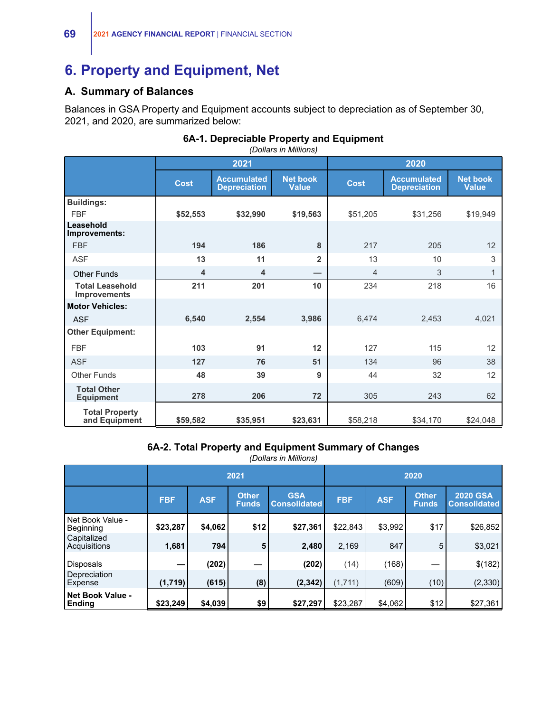## **6. Property and Equipment, Net**

### **A. Summary of Balances**

Balances in GSA Property and Equipment accounts subject to depreciation as of September 30, 2021, and 2020, are summarized below:

### *(Dollars in Millions)* **2021 2020 Cost Accumulated Depreciation Net book Value Cost Accumulated Depreciation Net book Value Buildings:** FBF **\$52,553 \$32,990 \$19,563** \$51,205 \$31,256 \$19,949 **Leasehold Improvements:** FBF **194 186 8** 217 205 12 ASF **13 11 2** 13 10 3 Other Funds **4 4 —** 4 3 1 **Total Leasehold Improvements 211 201 10** 234 218 16 **Motor Vehicles:** ASF **6,540 2,554 3,986** 6,474 2,453 4,021 **Other Equipment:** FBF **103 91 12** 127 115 12 ASF **127 76 51** 134 96 38 Other Funds **48 39 9** 44 32 12 **Total Other Equipment 278 206 72** 305 243 62 **Total Property and Equipment | \$59,582 \$35,951 \$23,631 \$58,218 \$34,170 \$24,048**

### **6A-1. Depreciable Property and Equipment**

**6A-2. Total Property and Equipment Summary of Changes**

|                                          |            |            | 2021                         |                                   | 2020       |            |                              |                                        |  |
|------------------------------------------|------------|------------|------------------------------|-----------------------------------|------------|------------|------------------------------|----------------------------------------|--|
|                                          | <b>FBF</b> | <b>ASF</b> | <b>Other</b><br><b>Funds</b> | <b>GSA</b><br><b>Consolidated</b> | <b>FBF</b> | <b>ASF</b> | <b>Other</b><br><b>Funds</b> | <b>2020 GSA</b><br><b>Consolidated</b> |  |
| Net Book Value -<br>Beginning            | \$23,287   | \$4,062    | \$12                         | \$27,361                          | \$22,843   | \$3,992    | \$17                         | \$26,852                               |  |
| Capitalized<br>Acquisitions              | 1,681      | 794        | 5                            | 2,480                             | 2,169      | 847        | 5                            | \$3,021                                |  |
| <b>Disposals</b>                         |            | (202)      |                              | (202)                             | (14)       | (168)      |                              | \$(182)                                |  |
| Depreciation<br>Expense                  | (1,719)    | (615)      | (8)                          | (2, 342)                          | (1, 711)   | (609)      | (10)                         | (2,330)                                |  |
| <b>Net Book Value -</b><br><b>Ending</b> | \$23,249   | \$4,039    | \$9                          | \$27,297                          | \$23,287   | \$4,062    | \$12                         | \$27,361                               |  |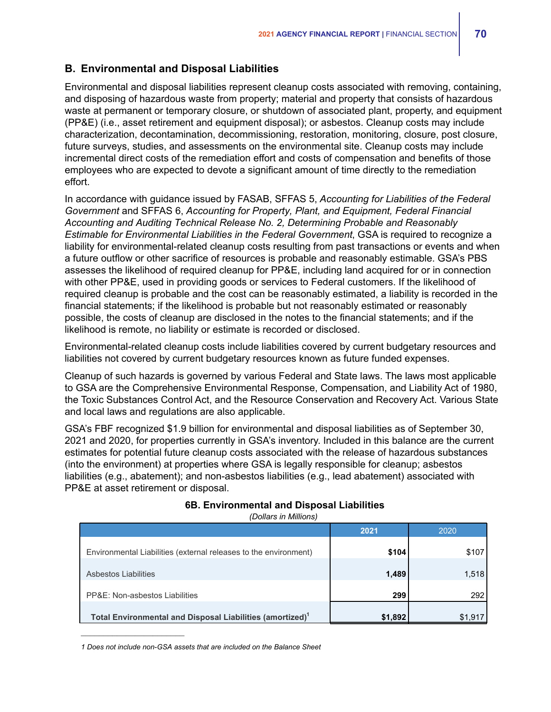### **B. Environmental and Disposal Liabilities**

Environmental and disposal liabilities represent cleanup costs associated with removing, containing, and disposing of hazardous waste from property; material and property that consists of hazardous waste at permanent or temporary closure, or shutdown of associated plant, property, and equipment (PP&E) (i.e., asset retirement and equipment disposal); or asbestos. Cleanup costs may include characterization, decontamination, decommissioning, restoration, monitoring, closure, post closure, future surveys, studies, and assessments on the environmental site. Cleanup costs may include incremental direct costs of the remediation effort and costs of compensation and benefits of those employees who are expected to devote a significant amount of time directly to the remediation effort.

In accordance with guidance issued by FASAB, SFFAS 5, *Accounting for Liabilities of the Federal Government* and SFFAS 6, *Accounting for Property, Plant, and Equipment, Federal Financial Accounting and Auditing Technical Release No. 2, Determining Probable and Reasonably Estimable for Environmental Liabilities in the Federal Government*, GSA is required to recognize a liability for environmental-related cleanup costs resulting from past transactions or events and when a future outflow or other sacrifice of resources is probable and reasonably estimable. GSA's PBS assesses the likelihood of required cleanup for PP&E, including land acquired for or in connection with other PP&E, used in providing goods or services to Federal customers. If the likelihood of required cleanup is probable and the cost can be reasonably estimated, a liability is recorded in the financial statements; if the likelihood is probable but not reasonably estimated or reasonably possible, the costs of cleanup are disclosed in the notes to the financial statements; and if the likelihood is remote, no liability or estimate is recorded or disclosed.

Environmental-related cleanup costs include liabilities covered by current budgetary resources and liabilities not covered by current budgetary resources known as future funded expenses.

Cleanup of such hazards is governed by various Federal and State laws. The laws most applicable to GSA are the Comprehensive Environmental Response, Compensation, and Liability Act of 1980, the Toxic Substances Control Act, and the Resource Conservation and Recovery Act. Various State and local laws and regulations are also applicable.

GSA's FBF recognized \$1.9 billion for environmental and disposal liabilities as of September 30, 2021 and 2020, for properties currently in GSA's inventory. Included in this balance are the current estimates for potential future cleanup costs associated with the release of hazardous substances (into the environment) at properties where GSA is legally responsible for cleanup; asbestos liabilities (e.g., abatement); and non-asbestos liabilities (e.g., lead abatement) associated with PP&E at asset retirement or disposal.

|                                                                       | 2021    | 2020   |
|-----------------------------------------------------------------------|---------|--------|
| Environmental Liabilities (external releases to the environment)      | \$104   | \$107  |
| Asbestos Liabilities                                                  | 1,489   | 1,518  |
| PP&E: Non-asbestos Liabilities                                        | 299     | 292    |
| Total Environmental and Disposal Liabilities (amortized) <sup>1</sup> | \$1,892 | \$1.91 |

### **6B. Environmental and Disposal Liabilities**

*(Dollars in Millions)*

*1 Does not include non-GSA assets that are included on the Balance Sheet*

 $\mathcal{L}_\text{max}$  , where  $\mathcal{L}_\text{max}$  and  $\mathcal{L}_\text{max}$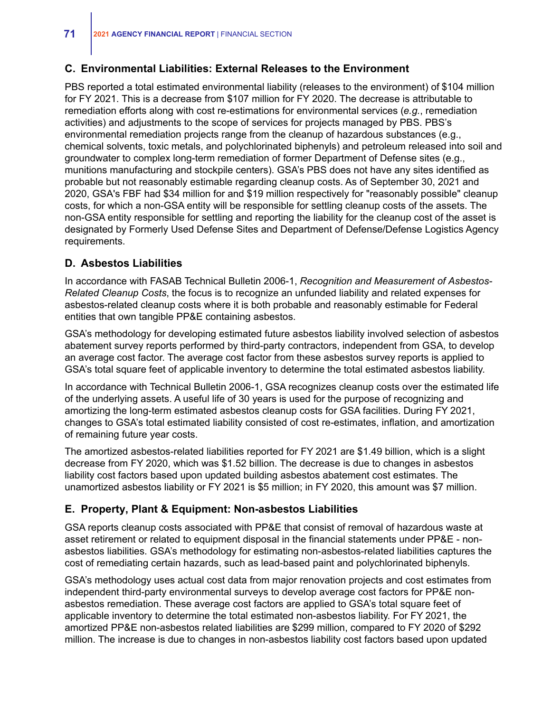### **C. Environmental Liabilities: External Releases to the Environment**

PBS reported a total estimated environmental liability (releases to the environment) of \$104 million for FY 2021. This is a decrease from \$107 million for FY 2020. The decrease is attributable to remediation efforts along with cost re-estimations for environmental services (*e.g.*, remediation activities) and adjustments to the scope of services for projects managed by PBS. PBS's environmental remediation projects range from the cleanup of hazardous substances (e.g., chemical solvents, toxic metals, and polychlorinated biphenyls) and petroleum released into soil and groundwater to complex long-term remediation of former Department of Defense sites (e.g., munitions manufacturing and stockpile centers). GSA's PBS does not have any sites identified as probable but not reasonably estimable regarding cleanup costs. As of September 30, 2021 and 2020, GSA's FBF had \$34 million for and \$19 million respectively for "reasonably possible" cleanup costs, for which a non-GSA entity will be responsible for settling cleanup costs of the assets. The non-GSA entity responsible for settling and reporting the liability for the cleanup cost of the asset is designated by Formerly Used Defense Sites and Department of Defense/Defense Logistics Agency requirements.

### **D. Asbestos Liabilities**

In accordance with FASAB Technical Bulletin 2006-1, *Recognition and Measurement of Asbestos-Related Cleanup Costs*, the focus is to recognize an unfunded liability and related expenses for asbestos-related cleanup costs where it is both probable and reasonably estimable for Federal entities that own tangible PP&E containing asbestos.

GSA's methodology for developing estimated future asbestos liability involved selection of asbestos abatement survey reports performed by third-party contractors, independent from GSA, to develop an average cost factor. The average cost factor from these asbestos survey reports is applied to GSA's total square feet of applicable inventory to determine the total estimated asbestos liability.

In accordance with Technical Bulletin 2006-1, GSA recognizes cleanup costs over the estimated life of the underlying assets. A useful life of 30 years is used for the purpose of recognizing and amortizing the long-term estimated asbestos cleanup costs for GSA facilities. During FY 2021, changes to GSA's total estimated liability consisted of cost re-estimates, inflation, and amortization of remaining future year costs.

The amortized asbestos-related liabilities reported for FY 2021 are \$1.49 billion, which is a slight decrease from FY 2020, which was \$1.52 billion. The decrease is due to changes in asbestos liability cost factors based upon updated building asbestos abatement cost estimates. The unamortized asbestos liability or FY 2021 is \$5 million; in FY 2020, this amount was \$7 million.

### **E. Property, Plant & Equipment: Non-asbestos Liabilities**

GSA reports cleanup costs associated with PP&E that consist of removal of hazardous waste at asset retirement or related to equipment disposal in the financial statements under PP&E - nonasbestos liabilities. GSA's methodology for estimating non-asbestos-related liabilities captures the cost of remediating certain hazards, such as lead-based paint and polychlorinated biphenyls.

GSA's methodology uses actual cost data from major renovation projects and cost estimates from independent third-party environmental surveys to develop average cost factors for PP&E nonasbestos remediation. These average cost factors are applied to GSA's total square feet of applicable inventory to determine the total estimated non-asbestos liability. For FY 2021, the amortized PP&E non-asbestos related liabilities are \$299 million, compared to FY 2020 of \$292 million. The increase is due to changes in non-asbestos liability cost factors based upon updated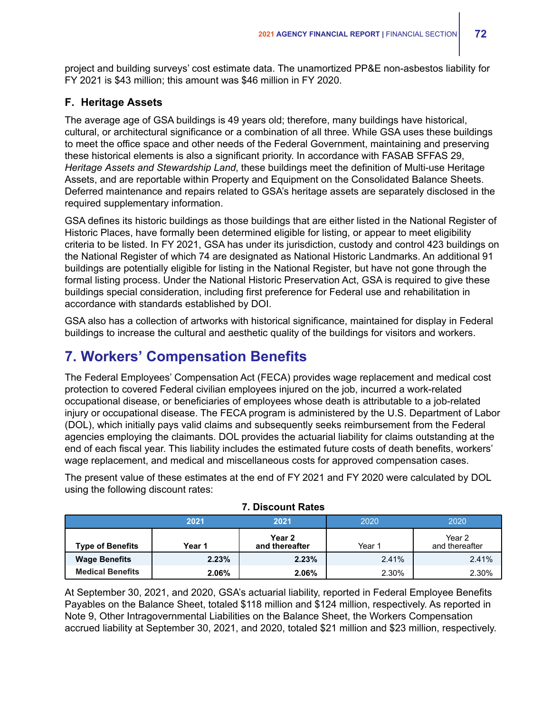project and building surveys' cost estimate data. The unamortized PP&E non-asbestos liability for FY 2021 is \$43 million; this amount was \$46 million in FY 2020.

### **F. Heritage Assets**

The average age of GSA buildings is 49 years old; therefore, many buildings have historical, cultural, or architectural significance or a combination of all three. While GSA uses these buildings to meet the office space and other needs of the Federal Government, maintaining and preserving these historical elements is also a significant priority. In accordance with FASAB SFFAS 29, *Heritage Assets and Stewardship Land*, these buildings meet the definition of Multi-use Heritage Assets, and are reportable within Property and Equipment on the Consolidated Balance Sheets. Deferred maintenance and repairs related to GSA's heritage assets are separately disclosed in the required supplementary information.

GSA defines its historic buildings as those buildings that are either listed in the National Register of Historic Places, have formally been determined eligible for listing, or appear to meet eligibility criteria to be listed. In FY 2021, GSA has under its jurisdiction, custody and control 423 buildings on the National Register of which 74 are designated as National Historic Landmarks. An additional 91 buildings are potentially eligible for listing in the National Register, but have not gone through the formal listing process. Under the National Historic Preservation Act, GSA is required to give these buildings special consideration, including first preference for Federal use and rehabilitation in accordance with standards established by DOI.

GSA also has a collection of artworks with historical significance, maintained for display in Federal buildings to increase the cultural and aesthetic quality of the buildings for visitors and workers.

# **7. Workers' Compensation Benefits**

The Federal Employees' Compensation Act (FECA) provides wage replacement and medical cost protection to covered Federal civilian employees injured on the job, incurred a work-related occupational disease, or beneficiaries of employees whose death is attributable to a job-related injury or occupational disease. The FECA program is administered by the U.S. Department of Labor (DOL), which initially pays valid claims and subsequently seeks reimbursement from the Federal agencies employing the claimants. DOL provides the actuarial liability for claims outstanding at the end of each fiscal year. This liability includes the estimated future costs of death benefits, workers' wage replacement, and medical and miscellaneous costs for approved compensation cases.

The present value of these estimates at the end of FY 2021 and FY 2020 were calculated by DOL using the following discount rates:

|                         | 2021   | 2021                     | 2020   | 2020                     |  |  |
|-------------------------|--------|--------------------------|--------|--------------------------|--|--|
| <b>Type of Benefits</b> | Year 1 | Year 2<br>and thereafter | Year 1 | Year 2<br>and thereafter |  |  |
| <b>Wage Benefits</b>    | 2.23%  | 2.23%                    | 2.41%  | 2.41%                    |  |  |
| <b>Medical Benefits</b> | 2.06%  | 2.06%                    | 2.30%  | 2.30%                    |  |  |

### **7. Discount Rates**

At September 30, 2021, and 2020, GSA's actuarial liability, reported in Federal Employee Benefits Payables on the Balance Sheet, totaled \$118 million and \$124 million, respectively. As reported in Note 9, Other Intragovernmental Liabilities on the Balance Sheet, the Workers Compensation accrued liability at September 30, 2021, and 2020, totaled \$21 million and \$23 million, respectively.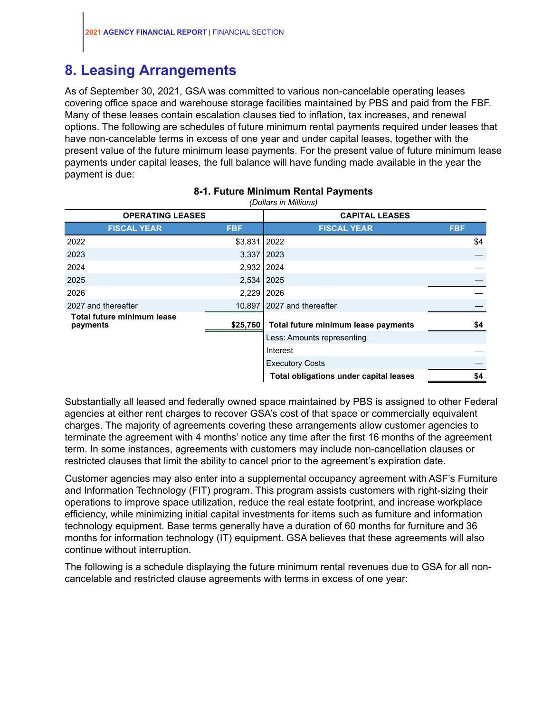## **8. Leasing Arrangements**

As of September 30, 2021, GSA was committed to various non-cancelable operating leases covering office space and warehouse storage facilities maintained by PBS and paid from the FBF. Many of these leases contain escalation clauses tied to inflation, tax increases, and renewal options. The following are schedules of future minimum rental payments required under leases that have non-cancelable terms in excess of one year and under capital leases, together with the present value of the future minimum lease payments. For the present value of future minimum lease payments under capital leases, the full balance will have funding made available in the year the payment is due:

|                                        | נטווטווויווי ווו טוווטשן |                                               |            |  |  |  |  |  |  |  |  |
|----------------------------------------|--------------------------|-----------------------------------------------|------------|--|--|--|--|--|--|--|--|
| <b>OPERATING LEASES</b>                |                          | <b>CAPITAL LEASES</b>                         |            |  |  |  |  |  |  |  |  |
| <b>FISCAL YEAR</b>                     | <b>FBF</b>               | <b>FISCAL YEAR</b>                            | <b>FBF</b> |  |  |  |  |  |  |  |  |
| 2022                                   | $$3,831$   2022          |                                               | \$4        |  |  |  |  |  |  |  |  |
| 2023                                   | 3,337 2023               |                                               |            |  |  |  |  |  |  |  |  |
| 2024                                   | 2,932 2024               |                                               |            |  |  |  |  |  |  |  |  |
| 2025                                   | 2,534 2025               |                                               |            |  |  |  |  |  |  |  |  |
| 2026                                   | 2,229 2026               |                                               |            |  |  |  |  |  |  |  |  |
| 2027 and thereafter                    |                          | 10,897 2027 and thereafter                    |            |  |  |  |  |  |  |  |  |
| Total future minimum lease<br>payments | \$25,760                 | Total future minimum lease payments           | \$4        |  |  |  |  |  |  |  |  |
|                                        |                          | Less: Amounts representing                    |            |  |  |  |  |  |  |  |  |
|                                        |                          | Interest                                      |            |  |  |  |  |  |  |  |  |
|                                        |                          | <b>Executory Costs</b>                        |            |  |  |  |  |  |  |  |  |
|                                        |                          | <b>Total obligations under capital leases</b> | \$4        |  |  |  |  |  |  |  |  |

### **8-1. Future Minimum Rental Payments** *(Dollars in Millions)*

Substantially all leased and federally owned space maintained by PBS is assigned to other Federal agencies at either rent charges to recover GSA's cost of that space or commercially equivalent charges. The majority of agreements covering these arrangements allow customer agencies to terminate the agreement with 4 months' notice any time after the first 16 months of the agreement term. In some instances, agreements with customers may include non-cancellation clauses or restricted clauses that limit the ability to cancel prior to the agreement's expiration date.

Customer agencies may also enter into a supplemental occupancy agreement with ASF's Furniture and Information Technology (FIT) program. This program assists customers with right-sizing their operations to improve space utilization, reduce the real estate footprint, and increase workplace efficiency, while minimizing initial capital investments for items such as furniture and information technology equipment. Base terms generally have a duration of 60 months for furniture and 36 months for information technology (IT) equipment. GSA believes that these agreements will also continue without interruption.

The following is a schedule displaying the future minimum rental revenues due to GSA for all noncancelable and restricted clause agreements with terms in excess of one year: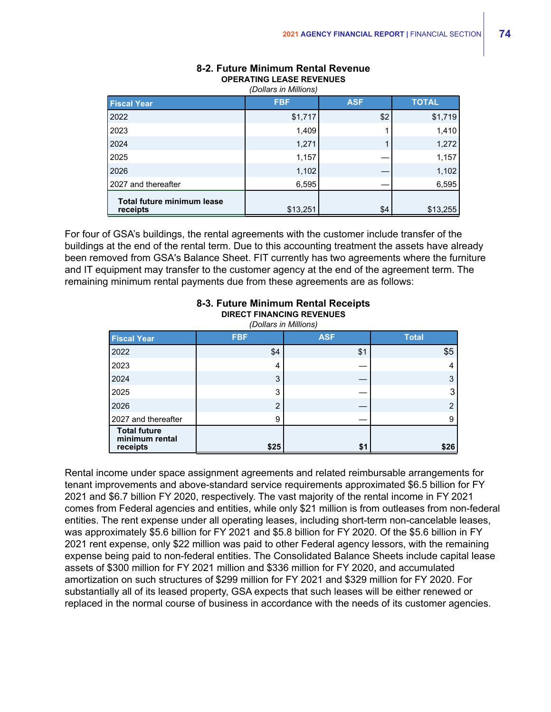| $\nu$ viiuivi in iviiiiiviiv                  |            |            |              |  |  |  |  |  |  |  |
|-----------------------------------------------|------------|------------|--------------|--|--|--|--|--|--|--|
| <b>Fiscal Year</b>                            | <b>FBF</b> | <b>ASF</b> | <b>TOTAL</b> |  |  |  |  |  |  |  |
| 2022                                          | \$1,717    | \$2        | \$1,719      |  |  |  |  |  |  |  |
| 2023                                          | 1,409      |            | 1,410        |  |  |  |  |  |  |  |
| 2024                                          | 1,271      |            | 1,272        |  |  |  |  |  |  |  |
| 2025                                          | 1,157      |            | 1,157        |  |  |  |  |  |  |  |
| 2026                                          | 1,102      |            | 1,102        |  |  |  |  |  |  |  |
| 2027 and thereafter                           | 6,595      |            | 6,595        |  |  |  |  |  |  |  |
| <b>Total future minimum lease</b><br>receipts | \$13,251   | \$4        | \$13,255     |  |  |  |  |  |  |  |

### **8-2. Future Minimum Rental Revenue OPERATING LEASE REVENUES** *(Dollars in Millions)*

For four of GSA's buildings, the rental agreements with the customer include transfer of the buildings at the end of the rental term. Due to this accounting treatment the assets have already been removed from GSA's Balance Sheet. FIT currently has two agreements where the furniture and IT equipment may transfer to the customer agency at the end of the agreement term. The remaining minimum rental payments due from these agreements are as follows:

| (Dollars in Millions)                             |                |            |              |  |  |  |  |  |  |
|---------------------------------------------------|----------------|------------|--------------|--|--|--|--|--|--|
| <b>Fiscal Year</b>                                | <b>FBF</b>     | <b>ASF</b> | <b>Total</b> |  |  |  |  |  |  |
| 2022                                              | \$4            | \$1        | \$5          |  |  |  |  |  |  |
| 2023                                              | 4              |            |              |  |  |  |  |  |  |
| 2024                                              | 3              |            | 3            |  |  |  |  |  |  |
| 2025                                              | 3              |            | 3            |  |  |  |  |  |  |
| 2026                                              | $\overline{2}$ |            | າ            |  |  |  |  |  |  |
| 2027 and thereafter                               | 9              |            | 9            |  |  |  |  |  |  |
| <b>Total future</b><br>minimum rental<br>receipts | \$25           | \$1        | \$26         |  |  |  |  |  |  |

### **8-3. Future Minimum Rental Receipts DIRECT FINANCING REVENUES**

Rental income under space assignment agreements and related reimbursable arrangements for tenant improvements and above-standard service requirements approximated \$6.5 billion for FY 2021 and \$6.7 billion FY 2020, respectively. The vast majority of the rental income in FY 2021 comes from Federal agencies and entities, while only \$21 million is from outleases from non-federal entities. The rent expense under all operating leases, including short-term non-cancelable leases, was approximately \$5.6 billion for FY 2021 and \$5.8 billion for FY 2020. Of the \$5.6 billion in FY 2021 rent expense, only \$22 million was paid to other Federal agency lessors, with the remaining expense being paid to non-federal entities. The Consolidated Balance Sheets include capital lease assets of \$300 million for FY 2021 million and \$336 million for FY 2020, and accumulated amortization on such structures of \$299 million for FY 2021 and \$329 million for FY 2020. For substantially all of its leased property, GSA expects that such leases will be either renewed or replaced in the normal course of business in accordance with the needs of its customer agencies.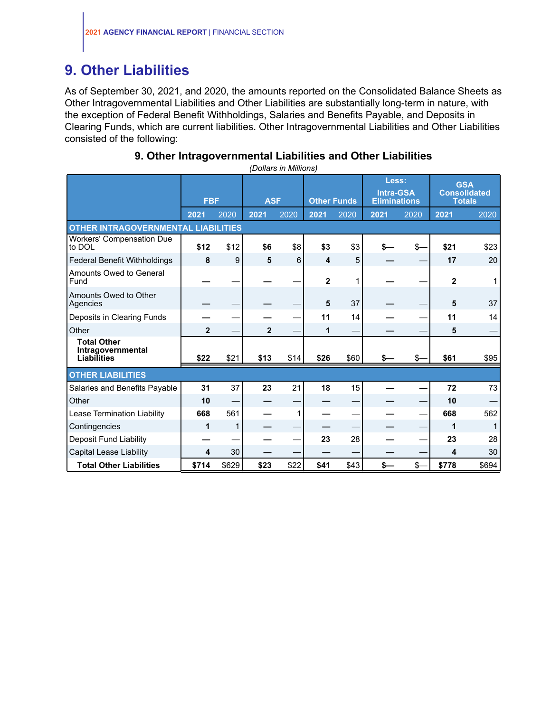# **9. Other Liabilities**

As of September 30, 2021, and 2020, the amounts reported on the Consolidated Balance Sheets as Other Intragovernmental Liabilities and Other Liabilities are substantially long-term in nature, with the exception of Federal Benefit Withholdings, Salaries and Benefits Payable, and Deposits in Clearing Funds, which are current liabilities. Other Intragovernmental Liabilities and Other Liabilities consisted of the following:

## **9. Other Intragovernmental Liabilities and Other Liabilities**

|                                                        |              | <b>FBF</b> |                | <b>ASF</b><br><b>Other Funds</b> |                | Less:<br><b>Intra-GSA</b><br><b>Eliminations</b> |      | <b>GSA</b><br><b>Consolidated</b><br><b>Totals</b> |             |       |
|--------------------------------------------------------|--------------|------------|----------------|----------------------------------|----------------|--------------------------------------------------|------|----------------------------------------------------|-------------|-------|
|                                                        | 2021         | 2020       | 2021           | 2020                             | 2021           | 2020                                             | 2021 | 2020                                               | 2021        | 2020  |
| <b>OTHER INTRAGOVERNMENTAL LIABILITIES</b>             |              |            |                |                                  |                |                                                  |      |                                                    |             |       |
| <b>Workers' Compensation Due</b><br>to DOL             | \$12         | \$12       | \$6            | \$8                              | \$3            | \$3                                              |      | \$-                                                | \$21        | \$23  |
| Federal Benefit Withholdings                           | 8            | 9          | 5              | 6                                | 4              | 5                                                |      |                                                    | 17          | 20    |
| Amounts Owed to General<br>Fund                        |              |            |                |                                  | $\overline{2}$ |                                                  |      |                                                    | $\mathbf 2$ |       |
| Amounts Owed to Other<br>Agencies                      |              |            |                |                                  | 5              | 37                                               |      |                                                    | 5           | 37    |
| Deposits in Clearing Funds                             |              |            |                |                                  | 11             | 14                                               |      |                                                    | 11          | 14    |
| Other                                                  | $\mathbf{2}$ |            | $\overline{2}$ |                                  | 1              |                                                  |      |                                                    | 5           |       |
| <b>Total Other</b><br>Intragovernmental<br>Liabilities | \$22         | \$21       | \$13           | \$14                             | \$26           | \$60                                             |      | \$.                                                | \$61        | \$95  |
| <b>OTHER LIABILITIES</b>                               |              |            |                |                                  |                |                                                  |      |                                                    |             |       |
| Salaries and Benefits Payable                          | 31           | 37         | 23             | 21                               | 18             | 15                                               |      |                                                    | 72          | 73    |
| Other                                                  | 10           |            |                |                                  |                |                                                  |      |                                                    | 10          |       |
| Lease Termination Liability                            | 668          | 561        |                | 1                                |                |                                                  |      |                                                    | 668         | 562   |
| Contingencies                                          | 1            | 1          |                |                                  |                |                                                  |      |                                                    | 1           |       |
| <b>Deposit Fund Liability</b>                          |              |            |                |                                  | 23             | 28                                               |      |                                                    | 23          | 28    |
| <b>Capital Lease Liability</b>                         | 4            | 30         |                |                                  |                |                                                  |      |                                                    | 4           | 30    |
| <b>Total Other Liabilities</b>                         | \$714        | \$629      | \$23           | \$22                             | \$41           | \$43                                             | \$–  | \$-                                                | \$778       | \$694 |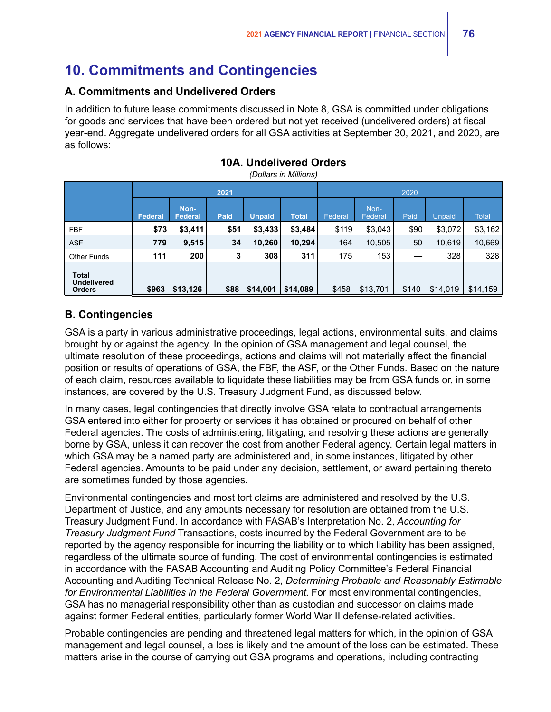# **10. Commitments and Contingencies**

### **A. Commitments and Undelivered Orders**

In addition to future lease commitments discussed in Note 8, GSA is committed under obligations for goods and services that have been ordered but not yet received (undelivered orders) at fiscal year-end. Aggregate undelivered orders for all GSA activities at September 30, 2021, and 2020, are as follows:

|                                       |         |                        | 2021 |               |              | 2020    |                 |       |          |              |  |
|---------------------------------------|---------|------------------------|------|---------------|--------------|---------|-----------------|-------|----------|--------------|--|
|                                       | Federal | Non-<br><b>Federal</b> | Paid | <b>Unpaid</b> | <b>Total</b> | Federal | Non-<br>Federal | Paid  | Unpaid   | <b>Total</b> |  |
| <b>FBF</b>                            | \$73    | \$3,411                | \$51 | \$3,433       | \$3,484      | \$119   | \$3,043         | \$90  | \$3,072  | \$3,162      |  |
| <b>ASF</b>                            | 779     | 9,515                  | 34   | 10,260        | 10,294       | 164     | 10,505          | 50    | 10,619   | 10,669       |  |
| <b>Other Funds</b>                    | 111     | 200                    | 3    | 308           | 311          | 175     | 153             |       | 328      | 328          |  |
| Total<br>Undelivered<br><b>Orders</b> | \$963   | \$13,126               | \$88 | \$14,001      | \$14,089     | \$458   | \$13,701        | \$140 | \$14,019 | \$14,159     |  |

### **10A. Undelivered Orders**

*(Dollars in Millions)*

## **B. Contingencies**

GSA is a party in various administrative proceedings, legal actions, environmental suits, and claims brought by or against the agency. In the opinion of GSA management and legal counsel, the ultimate resolution of these proceedings, actions and claims will not materially affect the financial position or results of operations of GSA, the FBF, the ASF, or the Other Funds. Based on the nature of each claim, resources available to liquidate these liabilities may be from GSA funds or, in some instances, are covered by the U.S. Treasury Judgment Fund, as discussed below.

In many cases, legal contingencies that directly involve GSA relate to contractual arrangements GSA entered into either for property or services it has obtained or procured on behalf of other Federal agencies. The costs of administering, litigating, and resolving these actions are generally borne by GSA, unless it can recover the cost from another Federal agency. Certain legal matters in which GSA may be a named party are administered and, in some instances, litigated by other Federal agencies. Amounts to be paid under any decision, settlement, or award pertaining thereto are sometimes funded by those agencies.

Environmental contingencies and most tort claims are administered and resolved by the U.S. Department of Justice, and any amounts necessary for resolution are obtained from the U.S. Treasury Judgment Fund. In accordance with FASAB's Interpretation No. 2, *Accounting for Treasury Judgment Fund* Transactions, costs incurred by the Federal Government are to be reported by the agency responsible for incurring the liability or to which liability has been assigned, regardless of the ultimate source of funding. The cost of environmental contingencies is estimated in accordance with the FASAB Accounting and Auditing Policy Committee's Federal Financial Accounting and Auditing Technical Release No. 2, *Determining Probable and Reasonably Estimable for Environmental Liabilities in the Federal Government*. For most environmental contingencies, GSA has no managerial responsibility other than as custodian and successor on claims made against former Federal entities, particularly former World War II defense-related activities.

Probable contingencies are pending and threatened legal matters for which, in the opinion of GSA management and legal counsel, a loss is likely and the amount of the loss can be estimated. These matters arise in the course of carrying out GSA programs and operations, including contracting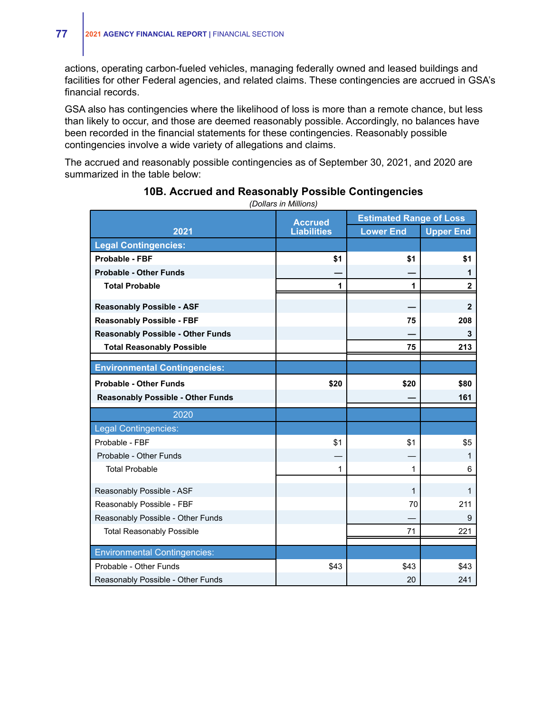actions, operating carbon-fueled vehicles, managing federally owned and leased buildings and facilities for other Federal agencies, and related claims. These contingencies are accrued in GSA's financial records.

GSA also has contingencies where the likelihood of loss is more than a remote chance, but less than likely to occur, and those are deemed reasonably possible. Accordingly, no balances have been recorded in the financial statements for these contingencies. Reasonably possible contingencies involve a wide variety of allegations and claims.

The accrued and reasonably possible contingencies as of September 30, 2021, and 2020 are summarized in the table below:

|                                          | <b>Accrued</b>     | <b>Estimated Range of Loss</b> |                  |
|------------------------------------------|--------------------|--------------------------------|------------------|
| 2021                                     | <b>Liabilities</b> | <b>Lower End</b>               | <b>Upper End</b> |
| <b>Legal Contingencies:</b>              |                    |                                |                  |
| Probable - FBF                           | \$1                | \$1                            | \$1              |
| <b>Probable - Other Funds</b>            |                    |                                | 1                |
| <b>Total Probable</b>                    | 1                  | 1                              | $\mathbf{2}$     |
| <b>Reasonably Possible - ASF</b>         |                    |                                | $\mathbf 2$      |
| <b>Reasonably Possible - FBF</b>         |                    | 75                             | 208              |
| <b>Reasonably Possible - Other Funds</b> |                    |                                | 3                |
| <b>Total Reasonably Possible</b>         |                    | 75                             | 213              |
| <b>Environmental Contingencies:</b>      |                    |                                |                  |
| <b>Probable - Other Funds</b>            | \$20               | \$20                           | \$80             |
| <b>Reasonably Possible - Other Funds</b> |                    |                                | 161              |
| 2020                                     |                    |                                |                  |
| <b>Legal Contingencies:</b>              |                    |                                |                  |
| Probable - FBF                           | \$1                | \$1                            | \$5              |
| Probable - Other Funds                   |                    |                                | 1                |
| <b>Total Probable</b>                    | 1                  | $\mathbf{1}$                   | 6                |
| Reasonably Possible - ASF                |                    | $\mathbf{1}$                   | $\mathbf{1}$     |
| Reasonably Possible - FBF                |                    | 70                             | 211              |
| Reasonably Possible - Other Funds        |                    |                                | 9                |
| <b>Total Reasonably Possible</b>         |                    | 71                             | 221              |
| <b>Environmental Contingencies:</b>      |                    |                                |                  |
| Probable - Other Funds                   | \$43               | \$43                           | \$43             |
| Reasonably Possible - Other Funds        |                    | 20                             | 241              |

### **10B. Accrued and Reasonably Possible Contingencies**

*(Dollars in Millions)*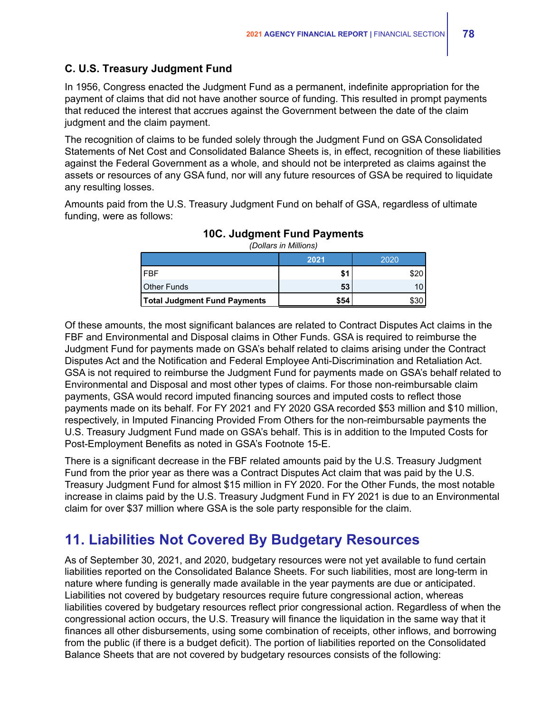## **C. U.S. Treasury Judgment Fund**

In 1956, Congress enacted the Judgment Fund as a permanent, indefinite appropriation for the payment of claims that did not have another source of funding. This resulted in prompt payments that reduced the interest that accrues against the Government between the date of the claim judgment and the claim payment.

The recognition of claims to be funded solely through the Judgment Fund on GSA Consolidated Statements of Net Cost and Consolidated Balance Sheets is, in effect, recognition of these liabilities against the Federal Government as a whole, and should not be interpreted as claims against the assets or resources of any GSA fund, nor will any future resources of GSA be required to liquidate any resulting losses.

Amounts paid from the U.S. Treasury Judgment Fund on behalf of GSA, regardless of ultimate funding, were as follows:

|                                     | 2021 | 2020 |
|-------------------------------------|------|------|
| I FRF                               |      |      |
| <b>Other Funds</b>                  | 53   |      |
| <b>Total Judgment Fund Payments</b> | \$54 |      |

**10C. Judgment Fund Payments** *(Dollars in Millions)*

Of these amounts, the most significant balances are related to Contract Disputes Act claims in the FBF and Environmental and Disposal claims in Other Funds. GSA is required to reimburse the Judgment Fund for payments made on GSA's behalf related to claims arising under the Contract Disputes Act and the Notification and Federal Employee Anti-Discrimination and Retaliation Act. GSA is not required to reimburse the Judgment Fund for payments made on GSA's behalf related to Environmental and Disposal and most other types of claims. For those non-reimbursable claim payments, GSA would record imputed financing sources and imputed costs to reflect those payments made on its behalf. For FY 2021 and FY 2020 GSA recorded \$53 million and \$10 million, respectively, in Imputed Financing Provided From Others for the non-reimbursable payments the U.S. Treasury Judgment Fund made on GSA's behalf. This is in addition to the Imputed Costs for Post-Employment Benefits as noted in GSA's Footnote 15-E.

There is a significant decrease in the FBF related amounts paid by the U.S. Treasury Judgment Fund from the prior year as there was a Contract Disputes Act claim that was paid by the U.S. Treasury Judgment Fund for almost \$15 million in FY 2020. For the Other Funds, the most notable increase in claims paid by the U.S. Treasury Judgment Fund in FY 2021 is due to an Environmental claim for over \$37 million where GSA is the sole party responsible for the claim.

# **11. Liabilities Not Covered By Budgetary Resources**

As of September 30, 2021, and 2020, budgetary resources were not yet available to fund certain liabilities reported on the Consolidated Balance Sheets. For such liabilities, most are long-term in nature where funding is generally made available in the year payments are due or anticipated. Liabilities not covered by budgetary resources require future congressional action, whereas liabilities covered by budgetary resources reflect prior congressional action. Regardless of when the congressional action occurs, the U.S. Treasury will finance the liquidation in the same way that it finances all other disbursements, using some combination of receipts, other inflows, and borrowing from the public (if there is a budget deficit). The portion of liabilities reported on the Consolidated Balance Sheets that are not covered by budgetary resources consists of the following: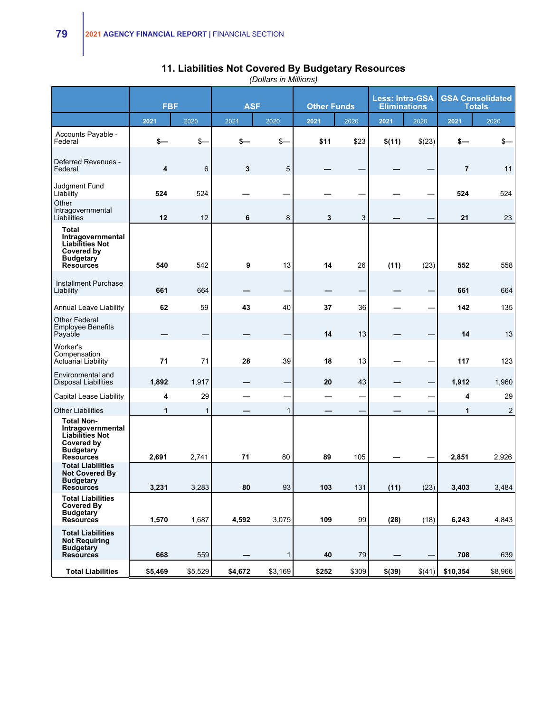|                                                                                                                        |         | <b>FBF</b> |         | <b>Less: Intra-GSA</b><br><b>ASF</b><br><b>Other Funds</b><br><b>Eliminations</b> |       |       |        |        | <b>GSA Consolidated</b><br><b>Totals</b> |                |
|------------------------------------------------------------------------------------------------------------------------|---------|------------|---------|-----------------------------------------------------------------------------------|-------|-------|--------|--------|------------------------------------------|----------------|
|                                                                                                                        | 2021    | 2020       | 2021    | 2020                                                                              | 2021  | 2020  | 2021   | 2020   | 2021                                     | 2020           |
| Accounts Payable -<br>Federal                                                                                          | \$—     | $$-$       | \$—     | $S-$                                                                              | \$11  | \$23  | \$(11) | \$(23) | s—                                       | \$-            |
| Deferred Revenues -<br>Federal                                                                                         | 4       | 6          | 3       | 5                                                                                 |       |       |        |        | $\overline{7}$                           | 11             |
| Judgment Fund<br>Liability                                                                                             | 524     | 524        |         |                                                                                   |       |       |        |        | 524                                      | 524            |
| Other<br>Intragovernmental<br>Liabilities                                                                              | 12      | 12         | 6       | 8                                                                                 | 3     | 3     |        |        | 21                                       | 23             |
| <b>Total</b><br>Intragovernmental<br><b>Liabilities Not</b><br>Covered by<br><b>Budgetary</b><br><b>Resources</b>      | 540     | 542        | 9       | 13                                                                                | 14    | 26    | (11)   | (23)   | 552                                      | 558            |
| Installment Purchase<br>Liability                                                                                      | 661     | 664        |         |                                                                                   |       |       |        |        | 661                                      | 664            |
| Annual Leave Liability                                                                                                 | 62      | 59         | 43      | 40                                                                                | 37    | 36    |        |        | 142                                      | 135            |
| Other Federal<br><b>Employee Benefits</b><br>Payable                                                                   |         |            |         |                                                                                   | 14    | 13    |        |        | 14                                       | 13             |
| Worker's<br>Compensation<br>Actuarial Liability                                                                        | 71      | 71         | 28      | 39                                                                                | 18    | 13    |        |        | 117                                      | 123            |
| Environmental and<br>Disposal Liabilities                                                                              | 1,892   | 1,917      |         |                                                                                   | 20    | 43    |        |        | 1,912                                    | 1,960          |
| Capital Lease Liability                                                                                                | 4       | 29         |         |                                                                                   |       |       |        |        | 4                                        | 29             |
| <b>Other Liabilities</b>                                                                                               | 1       | 1          |         | 1                                                                                 |       |       |        |        | 1                                        | $\overline{2}$ |
| <b>Total Non-</b><br>Intragovernmental<br><b>Liabilities Not</b><br>Covered by<br><b>Budgetary</b><br><b>Resources</b> | 2,691   | 2,741      | 71      | 80                                                                                | 89    | 105   |        |        | 2,851                                    | 2,926          |
| <b>Total Liabilities</b><br><b>Not Covered By</b><br><b>Budgetary</b><br><b>Resources</b>                              | 3,231   | 3,283      | 80      | 93                                                                                | 103   | 131   | (11)   | (23)   | 3,403                                    | 3,484          |
| <b>Total Liabilities</b><br><b>Covered By</b><br><b>Budgetary</b><br><b>Resources</b>                                  | 1,570   | 1,687      | 4,592   | 3,075                                                                             | 109   | 99    | (28)   | (18)   | 6,243                                    | 4,843          |
| <b>Total Liabilities</b><br><b>Not Requiring</b><br><b>Budgetary</b><br><b>Resources</b>                               | 668     | 559        |         | $\mathbf{1}$                                                                      | 40    | 79    |        |        | 708                                      | 639            |
| <b>Total Liabilities</b>                                                                                               | \$5,469 | \$5,529    | \$4,672 | \$3,169                                                                           | \$252 | \$309 | \$(39) | \$(41) | \$10,354                                 | \$8,966        |

### **11. Liabilities Not Covered By Budgetary Resources**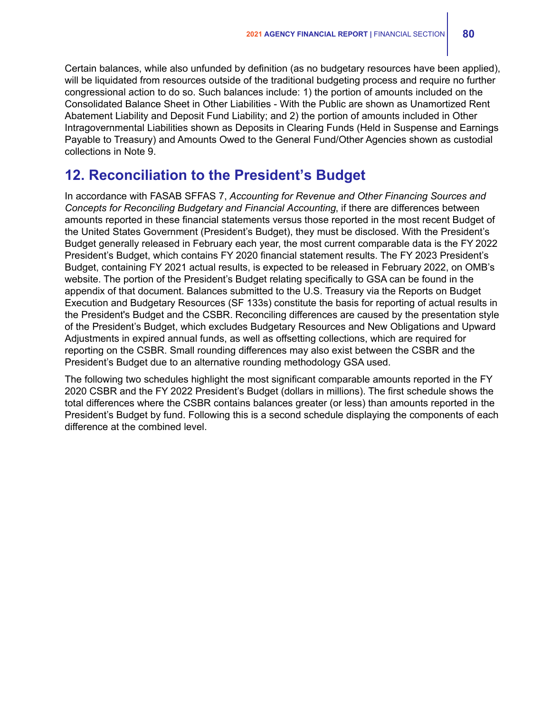Certain balances, while also unfunded by definition (as no budgetary resources have been applied), will be liquidated from resources outside of the traditional budgeting process and require no further congressional action to do so. Such balances include: 1) the portion of amounts included on the Consolidated Balance Sheet in Other Liabilities - With the Public are shown as Unamortized Rent Abatement Liability and Deposit Fund Liability; and 2) the portion of amounts included in Other Intragovernmental Liabilities shown as Deposits in Clearing Funds (Held in Suspense and Earnings Payable to Treasury) and Amounts Owed to the General Fund/Other Agencies shown as custodial collections in Note 9.

## **12. Reconciliation to the President's Budget**

In accordance with FASAB SFFAS 7, *Accounting for Revenue and Other Financing Sources and Concepts for Reconciling Budgetary and Financial Accounting*, if there are differences between amounts reported in these financial statements versus those reported in the most recent Budget of the United States Government (President's Budget), they must be disclosed. With the President's Budget generally released in February each year, the most current comparable data is the FY 2022 President's Budget, which contains FY 2020 financial statement results. The FY 2023 President's Budget, containing FY 2021 actual results, is expected to be released in February 2022, on OMB's website. The portion of the President's Budget relating specifically to GSA can be found in the appendix of that document. Balances submitted to the U.S. Treasury via the Reports on Budget Execution and Budgetary Resources (SF 133s) constitute the basis for reporting of actual results in the President's Budget and the CSBR. Reconciling differences are caused by the presentation style of the President's Budget, which excludes Budgetary Resources and New Obligations and Upward Adjustments in expired annual funds, as well as offsetting collections, which are required for reporting on the CSBR. Small rounding differences may also exist between the CSBR and the President's Budget due to an alternative rounding methodology GSA used.

The following two schedules highlight the most significant comparable amounts reported in the FY 2020 CSBR and the FY 2022 President's Budget (dollars in millions). The first schedule shows the total differences where the CSBR contains balances greater (or less) than amounts reported in the President's Budget by fund. Following this is a second schedule displaying the components of each difference at the combined level.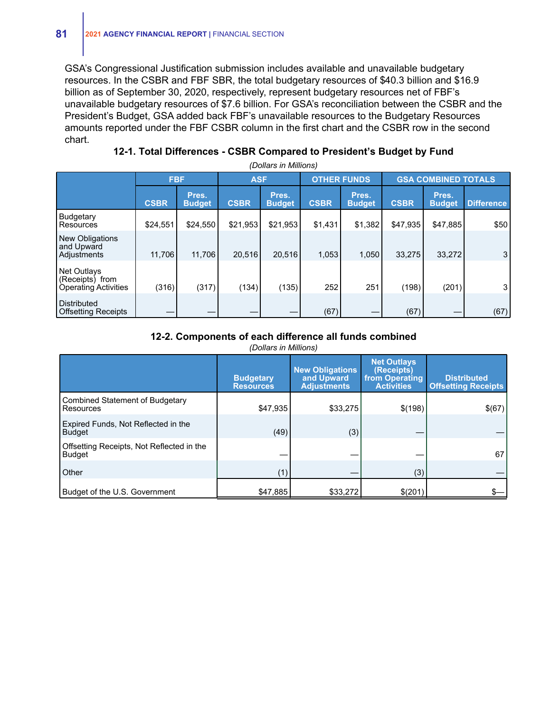GSA's Congressional Justification submission includes available and unavailable budgetary resources. In the CSBR and FBF SBR, the total budgetary resources of \$40.3 billion and \$16.9 billion as of September 30, 2020, respectively, represent budgetary resources net of FBF's unavailable budgetary resources of \$7.6 billion. For GSA's reconciliation between the CSBR and the President's Budget, GSA added back FBF's unavailable resources to the Budgetary Resources amounts reported under the FBF CSBR column in the first chart and the CSBR row in the second chart.

| 12-1. Total Differences - CSBR Compared to President's Budget by Fund |  |  |  |
|-----------------------------------------------------------------------|--|--|--|
|-----------------------------------------------------------------------|--|--|--|

*(Dollars in Millions)* **FBF ASF OTHER FUNDS GSA COMBINED TOTALS CSBR Pres. Budget CSBR Pres. Budget CSBR Pres. Budget CSBR Pres. Difference** Budgetary Resources | \$24,551| \$24,550| \$21,953| \$21,953| \$1,431| \$1,382| \$47,935| \$47,885| \$50 New Obligations and Upward Adjustments | 11,706 11,706 20,516 20,516 1,053 1,050 33,275 33,272 3 Net Outlays (Receipts) from Operating Activities (316) (317) (317) (134) (135) 252 251 (198) (201) 3 Distributed Offsetting Receipts — — — — (67) — (67) — (67)

### **12-2. Components of each difference all funds combined**

|                                                            | <b>Budgetary</b><br><b>Resources</b> | <b>New Obligations</b><br>and Upward<br><b>Adjustments</b> | <b>Net Outlays</b><br>(Receipts)<br>from Operating<br><b>Activities</b> | <b>Distributed</b><br><b>Offsetting Receipts</b> |  |  |  |  |  |
|------------------------------------------------------------|--------------------------------------|------------------------------------------------------------|-------------------------------------------------------------------------|--------------------------------------------------|--|--|--|--|--|
| Combined Statement of Budgetary<br>Resources               | \$47,935                             | \$33.275                                                   | \$(198)                                                                 | \$(67)                                           |  |  |  |  |  |
| Expired Funds, Not Reflected in the<br><b>Budget</b>       | (49)                                 | (3)                                                        |                                                                         |                                                  |  |  |  |  |  |
| Offsetting Receipts, Not Reflected in the<br><b>Budget</b> |                                      |                                                            |                                                                         | 67                                               |  |  |  |  |  |
| <b>Other</b>                                               | (1)                                  |                                                            | (3)                                                                     |                                                  |  |  |  |  |  |
| Budget of the U.S. Government                              | \$47,885                             | \$33,272                                                   | \$(201)                                                                 |                                                  |  |  |  |  |  |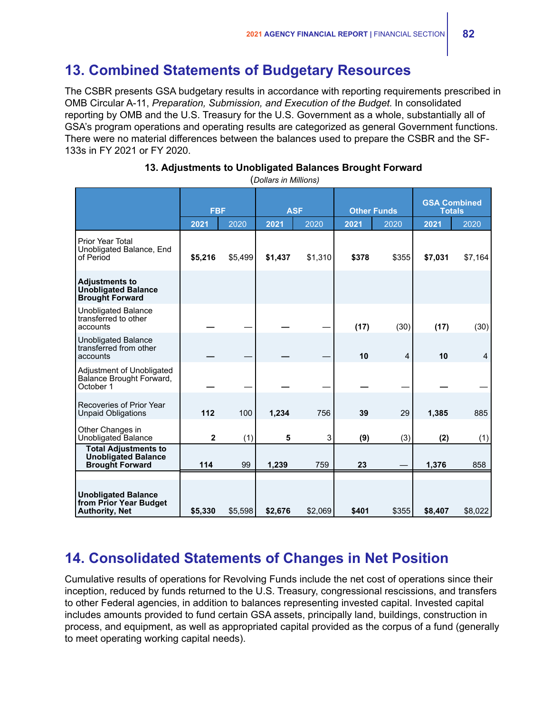# **13. Combined Statements of Budgetary Resources**

The CSBR presents GSA budgetary results in accordance with reporting requirements prescribed in OMB Circular A-11, *Preparation, Submission, and Execution of the Budget*. In consolidated reporting by OMB and the U.S. Treasury for the U.S. Government as a whole, substantially all of GSA's program operations and operating results are categorized as general Government functions. There were no material differences between the balances used to prepare the CSBR and the SF-133s in FY 2021 or FY 2020.

|                                                                                     | <b>FBF</b>   |         | <b>ASF</b> |         |       | <b>Other Funds</b> | <b>GSA Combined</b><br><b>Totals</b> |         |  |
|-------------------------------------------------------------------------------------|--------------|---------|------------|---------|-------|--------------------|--------------------------------------|---------|--|
|                                                                                     | 2021         | 2020    | 2021       | 2020    | 2021  | 2020               | 2021                                 | 2020    |  |
| Prior Year Total<br>Unobligated Balance, End<br>of Period                           | \$5,216      | \$5,499 | \$1,437    | \$1,310 | \$378 | \$355              | \$7,031                              | \$7,164 |  |
| <b>Adjustments to</b><br><b>Unobligated Balance</b><br><b>Brought Forward</b>       |              |         |            |         |       |                    |                                      |         |  |
| <b>Unobligated Balance</b><br>transferred to other<br>accounts                      |              |         |            |         | (17)  | (30)               | (17)                                 | (30)    |  |
| <b>Unobligated Balance</b><br>transferred from other<br>accounts                    |              |         |            |         | 10    | 4                  | 10                                   | 4       |  |
| Adjustment of Unobligated<br>Balance Brought Forward,<br>October 1                  |              |         |            |         |       |                    |                                      |         |  |
| Recoveries of Prior Year<br><b>Unpaid Obligations</b>                               | 112          | 100     | 1,234      | 756     | 39    | 29                 | 1,385                                | 885     |  |
| Other Changes in<br>Unobligated Balance                                             | $\mathbf{2}$ | (1)     | 5          | 3       | (9)   | (3)                | (2)                                  | (1)     |  |
| <b>Total Adjustments to</b><br><b>Unobligated Balance</b><br><b>Brought Forward</b> | 114          | 99      | 1,239      | 759     | 23    |                    | 1,376                                | 858     |  |
| <b>Unobligated Balance</b><br>from Prior Year Budget<br><b>Authority, Net</b>       | \$5,330      | \$5,598 | \$2,676    | \$2,069 | \$401 | \$355              | \$8,407                              | \$8,022 |  |

### **13. Adjustments to Unobligated Balances Brought Forward**

(*Dollars in Millions)*

# **14. Consolidated Statements of Changes in Net Position**

Cumulative results of operations for Revolving Funds include the net cost of operations since their inception, reduced by funds returned to the U.S. Treasury, congressional rescissions, and transfers to other Federal agencies, in addition to balances representing invested capital. Invested capital includes amounts provided to fund certain GSA assets, principally land, buildings, construction in process, and equipment, as well as appropriated capital provided as the corpus of a fund (generally to meet operating working capital needs).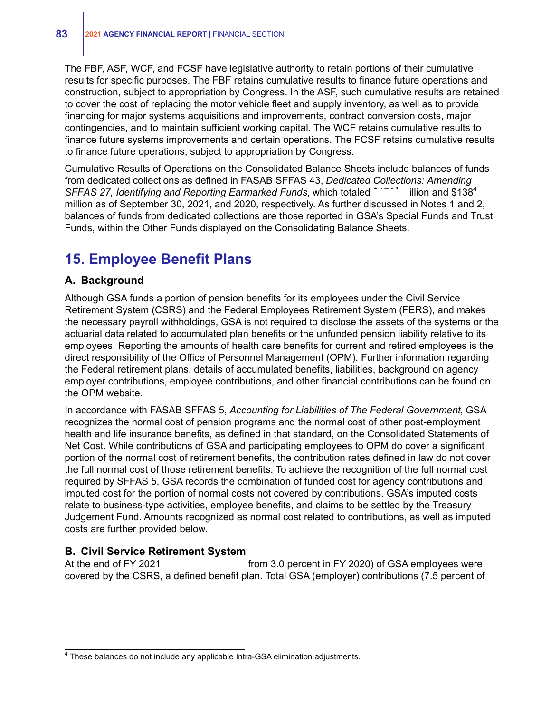The FBF, ASF, WCF, and FCSF have legislative authority to retain portions of their cumulative results for specific purposes. The FBF retains cumulative results to finance future operations and construction, subject to appropriation by Congress. In the ASF, such cumulative results are retained to cover the cost of replacing the motor vehicle fleet and supply inventory, as well as to provide financing for major systems acquisitions and improvements, contract conversion costs, major contingencies, and to maintain sufficient working capital. The WCF retains cumulative results to finance future systems improvements and certain operations. The FCSF retains cumulative results to finance future operations, subject to appropriation by Congress.

Cumulative Results of Operations on the Consolidated Balance Sheets include balances of funds from dedicated collections as defined in FASAB SFFAS 43, *Dedicated Collections: Amending SFFAS 27, Identifying and Reporting Earmarked Funds, which totaled* illion and  $$138<sup>4</sup>$ million as of September 30, 2021, and 2020, respectively. As further discussed in Notes 1 and 2, balances of funds from dedicated collections are those reported in GSA's Special Funds and Trust Funds, within the Other Funds displayed on the Consolidating Balance Sheets.

## **15. Employee Benefit Plans**

### **A. Background**

Although GSA funds a portion of pension benefits for its employees under the Civil Service Retirement System (CSRS) and the Federal Employees Retirement System (FERS), and makes the necessary payroll withholdings, GSA is not required to disclose the assets of the systems or the actuarial data related to accumulated plan benefits or the unfunded pension liability relative to its employees. Reporting the amounts of health care benefits for current and retired employees is the direct responsibility of the Office of Personnel Management (OPM). Further information regarding the Federal retirement plans, details of accumulated benefits, liabilities, background on agency employer contributions, employee contributions, and other financial contributions can be found on the OPM website.

In accordance with FASAB SFFAS 5, *Accounting for Liabilities of The Federal Government*, GSA recognizes the normal cost of pension programs and the normal cost of other post-employment health and life insurance benefits, as defined in that standard, on the Consolidated Statements of Net Cost. While contributions of GSA and participating employees to OPM do cover a significant portion of the normal cost of retirement benefits, the contribution rates defined in law do not cover the full normal cost of those retirement benefits. To achieve the recognition of the full normal cost required by SFFAS 5, GSA records the combination of funded cost for agency contributions and imputed cost for the portion of normal costs not covered by contributions. GSA's imputed costs relate to business-type activities, employee benefits, and claims to be settled by the Treasury Judgement Fund. Amounts recognized as normal cost related to contributions, as well as imputed costs are further provided below.

### **B. Civil Service Retirement System**

At the end of FY 2021 from 3.0 percent in FY 2020) of GSA employees were covered by the CSRS, a defined benefit plan. Total GSA (employer) contributions (7.5 percent of

<sup>&</sup>lt;sup>4</sup> These balances do not include any applicable Intra-GSA elimination adjustments.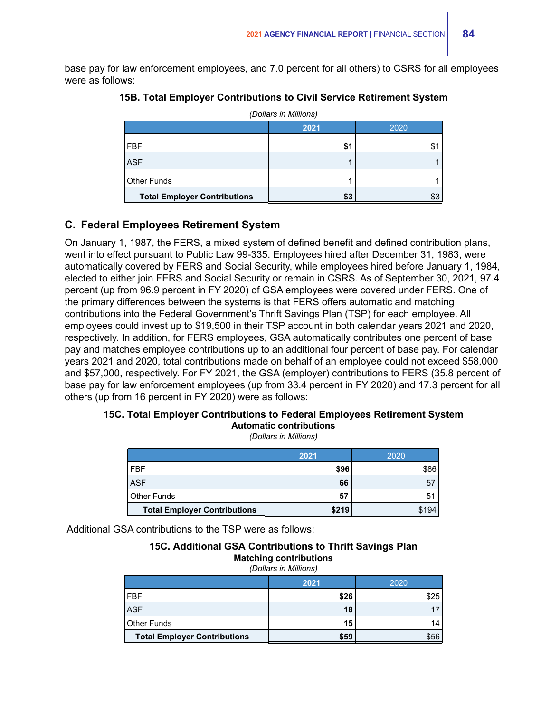base pay for law enforcement employees, and 7.0 percent for all others) to CSRS for all employees were as follows:

| (Dollars in Millions)               |      |      |  |  |  |  |  |
|-------------------------------------|------|------|--|--|--|--|--|
|                                     | 2021 | 2020 |  |  |  |  |  |
| <b>FBF</b>                          | \$1  |      |  |  |  |  |  |
| <b>ASF</b>                          |      |      |  |  |  |  |  |
| Other Funds                         |      |      |  |  |  |  |  |
| <b>Total Employer Contributions</b> | \$3  |      |  |  |  |  |  |

### **15B. Total Employer Contributions to Civil Service Retirement System**

## **C. Federal Employees Retirement System**

On January 1, 1987, the FERS, a mixed system of defined benefit and defined contribution plans, went into effect pursuant to Public Law 99-335. Employees hired after December 31, 1983, were automatically covered by FERS and Social Security, while employees hired before January 1, 1984, elected to either join FERS and Social Security or remain in CSRS. As of September 30, 2021, 97.4 percent (up from 96.9 percent in FY 2020) of GSA employees were covered under FERS. One of the primary differences between the systems is that FERS offers automatic and matching contributions into the Federal Government's Thrift Savings Plan (TSP) for each employee. All employees could invest up to \$19,500 in their TSP account in both calendar years 2021 and 2020, respectively. In addition, for FERS employees, GSA automatically contributes one percent of base pay and matches employee contributions up to an additional four percent of base pay. For calendar years 2021 and 2020, total contributions made on behalf of an employee could not exceed \$58,000 and \$57,000, respectively. For FY 2021, the GSA (employer) contributions to FERS (35.8 percent of base pay for law enforcement employees (up from 33.4 percent in FY 2020) and 17.3 percent for all others (up from 16 percent in FY 2020) were as follows:

### **15C. Total Employer Contributions to Federal Employees Retirement System Automatic contributions**

*(Dollars in Millions)*

|                                     | 2021  | 2020 |
|-------------------------------------|-------|------|
| FBF                                 | \$96  | \$86 |
| <b>ASF</b>                          | 66    | 57   |
| l Other Funds                       | 57    | 51   |
| <b>Total Employer Contributions</b> | \$219 | 94   |

Additional GSA contributions to the TSP were as follows:

**15C. Additional GSA Contributions to Thrift Savings Plan Matching contributions** 

| (Dollars in Millions)               |      |      |  |  |  |  |  |
|-------------------------------------|------|------|--|--|--|--|--|
|                                     | 2021 | 2020 |  |  |  |  |  |
| <b>FBF</b>                          | \$26 | \$25 |  |  |  |  |  |
| <b>ASF</b>                          | 18   | 17   |  |  |  |  |  |
| Other Funds                         | 15   | 14   |  |  |  |  |  |
| <b>Total Employer Contributions</b> | \$59 | \$56 |  |  |  |  |  |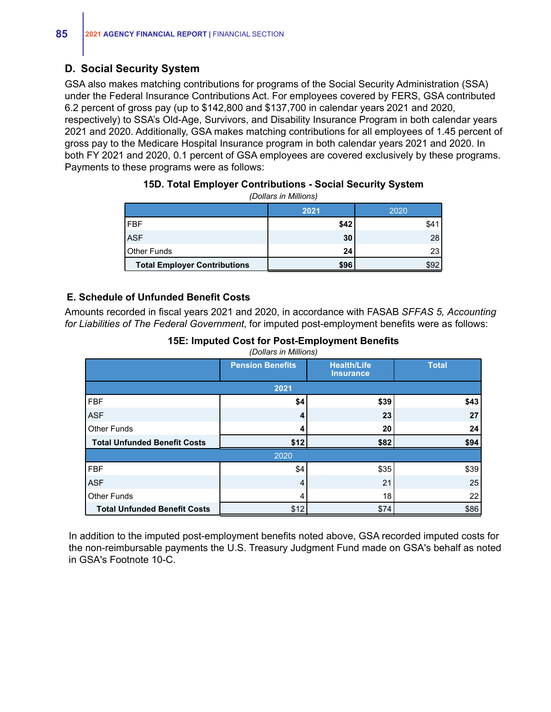## **D. Social Security System**

GSA also makes matching contributions for programs of the Social Security Administration (SSA) under the Federal Insurance Contributions Act. For employees covered by FERS, GSA contributed 6.2 percent of gross pay (up to \$142,800 and \$137,700 in calendar years 2021 and 2020, respectively) to SSA's Old-Age, Survivors, and Disability Insurance Program in both calendar years 2021 and 2020. Additionally, GSA makes matching contributions for all employees of 1.45 percent of gross pay to the Medicare Hospital Insurance program in both calendar years 2021 and 2020. In both FY 2021 and 2020, 0.1 percent of GSA employees are covered exclusively by these programs. Payments to these programs were as follows:

| נטווטווויווי ווו טוווטשן            |      |      |  |  |  |  |  |  |
|-------------------------------------|------|------|--|--|--|--|--|--|
|                                     | 2021 | 2020 |  |  |  |  |  |  |
| <b>FBF</b>                          | \$42 | \$41 |  |  |  |  |  |  |
| <b>ASF</b>                          | 30   | 28   |  |  |  |  |  |  |
| l Other Funds                       | 24   | 23   |  |  |  |  |  |  |
| <b>Total Employer Contributions</b> | \$96 | \$92 |  |  |  |  |  |  |

### **15D. Total Employer Contributions - Social Security System** *(Dollars in Millions)*

### **E. Schedule of Unfunded Benefit Costs**

Amounts recorded in fiscal years 2021 and 2020, in accordance with FASAB *SFFAS 5, Accounting for Liabilities of The Federal Government*, for imputed post-employment benefits were as follows:

### **15E: Imputed Cost for Post-Employment Benefits**

*(Dollars in Millions)*

|                                     | <b>Pension Benefits</b> | <b>Health/Life</b><br><b>Insurance</b> | <b>Total</b> |
|-------------------------------------|-------------------------|----------------------------------------|--------------|
|                                     | 2021                    |                                        |              |
| <b>FBF</b>                          | \$4                     | \$39                                   | \$43         |
| <b>ASF</b>                          | 4                       | 23                                     | 27           |
| <b>Other Funds</b>                  |                         | 20                                     | 24           |
| <b>Total Unfunded Benefit Costs</b> | \$12                    | \$82                                   | \$94         |
|                                     | 2020                    |                                        |              |
| <b>FBF</b>                          | \$4                     | \$35                                   | \$39         |
| <b>ASF</b>                          | 4                       | 21                                     | 25           |
| Other Funds                         | 4                       | 18                                     | 22           |
| <b>Total Unfunded Benefit Costs</b> | \$12                    | \$74                                   | \$86         |

In addition to the imputed post-employment benefits noted above, GSA recorded imputed costs for the non-reimbursable payments the U.S. Treasury Judgment Fund made on GSA's behalf as noted in GSA's Footnote 10-C.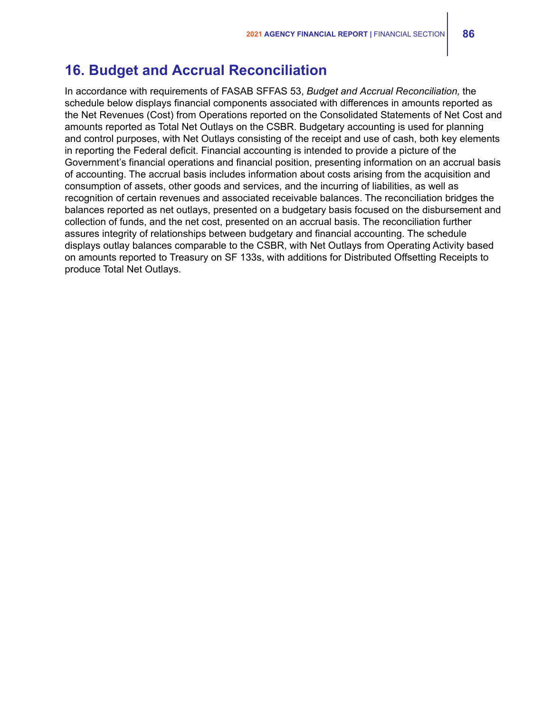## **16. Budget and Accrual Reconciliation**

In accordance with requirements of FASAB SFFAS 53, *Budget and Accrual Reconciliation,* the schedule below displays financial components associated with differences in amounts reported as the Net Revenues (Cost) from Operations reported on the Consolidated Statements of Net Cost and amounts reported as Total Net Outlays on the CSBR. Budgetary accounting is used for planning and control purposes, with Net Outlays consisting of the receipt and use of cash, both key elements in reporting the Federal deficit. Financial accounting is intended to provide a picture of the Government's financial operations and financial position, presenting information on an accrual basis of accounting. The accrual basis includes information about costs arising from the acquisition and consumption of assets, other goods and services, and the incurring of liabilities, as well as recognition of certain revenues and associated receivable balances. The reconciliation bridges the balances reported as net outlays, presented on a budgetary basis focused on the disbursement and collection of funds, and the net cost, presented on an accrual basis. The reconciliation further assures integrity of relationships between budgetary and financial accounting. The schedule displays outlay balances comparable to the CSBR, with Net Outlays from Operating Activity based on amounts reported to Treasury on SF 133s, with additions for Distributed Offsetting Receipts to produce Total Net Outlays.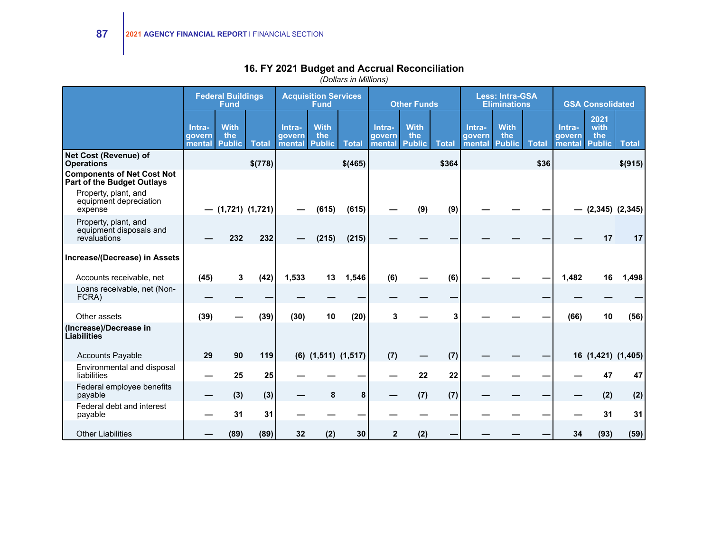|                                                                 | <b>Federal Buildings</b><br><b>Acquisition Services</b><br><b>Fund</b><br><b>Fund</b> |                                     | <b>Other Funds</b>  |                            |                                     | <b>Less: Intra-GSA</b><br><b>Eliminations</b> |                            |                                     | <b>GSA Consolidated</b> |                            |                                     |              |                            |                                      |                    |
|-----------------------------------------------------------------|---------------------------------------------------------------------------------------|-------------------------------------|---------------------|----------------------------|-------------------------------------|-----------------------------------------------|----------------------------|-------------------------------------|-------------------------|----------------------------|-------------------------------------|--------------|----------------------------|--------------------------------------|--------------------|
|                                                                 | Intra-<br>qovern<br>mental                                                            | <b>With</b><br>the<br><b>Public</b> | <b>Total</b>        | Intra-<br>govern<br>mental | <b>With</b><br>the<br><b>Public</b> | <b>Total</b>                                  | Intra-<br>govern<br>mental | <b>With</b><br>the<br><b>Public</b> | <b>Total</b>            | Intra-<br>govern<br>mental | <b>With</b><br>the<br><b>Public</b> | <b>Total</b> | Intra-<br>qovern<br>mental | 2021<br>with<br>the<br><b>Public</b> | <b>Total</b>       |
| Net Cost (Revenue) of<br><b>Operations</b>                      |                                                                                       |                                     | \$(778)             |                            |                                     | \$(465)                                       |                            |                                     | \$364                   |                            |                                     | \$36         |                            |                                      | \$(915)            |
| <b>Components of Net Cost Not</b><br>Part of the Budget Outlays |                                                                                       |                                     |                     |                            |                                     |                                               |                            |                                     |                         |                            |                                     |              |                            |                                      |                    |
| Property, plant, and<br>equipment depreciation<br>expense       |                                                                                       |                                     | $-$ (1,721) (1,721) |                            | (615)                               | (615)                                         |                            | (9)                                 | (9)                     |                            |                                     |              |                            | $(2,345)$ $(2,345)$                  |                    |
| Property, plant, and<br>equipment disposals and<br>revaluations |                                                                                       | 232                                 | 232                 |                            | (215)                               | (215)                                         |                            |                                     |                         |                            |                                     |              |                            | 17                                   | 17                 |
| Increase/(Decrease) in Assets                                   |                                                                                       |                                     |                     |                            |                                     |                                               |                            |                                     |                         |                            |                                     |              |                            |                                      |                    |
| Accounts receivable, net                                        | (45)                                                                                  | 3                                   | (42)                | 1,533                      | 13                                  | 1,546                                         | (6)                        |                                     | (6)                     |                            |                                     |              | 1,482                      | 16                                   | 1,498              |
| Loans receivable, net (Non-<br>FCRA)                            |                                                                                       |                                     |                     |                            |                                     |                                               |                            |                                     |                         |                            |                                     |              |                            |                                      |                    |
| Other assets                                                    | (39)                                                                                  |                                     | (39)                | (30)                       | 10                                  | (20)                                          | 3                          |                                     | 3                       |                            |                                     |              | (66)                       | 10                                   | (56)               |
| (Increase)/Decrease in<br>Liabilities                           |                                                                                       |                                     |                     |                            |                                     |                                               |                            |                                     |                         |                            |                                     |              |                            |                                      |                    |
| <b>Accounts Payable</b>                                         | 29                                                                                    | 90                                  | 119                 |                            | $(6)$ $(1,511)$ $(1,517)$           |                                               | (7)                        |                                     | (7)                     |                            |                                     |              |                            |                                      | 16 (1,421) (1,405) |
| Environmental and disposal<br>liabilities                       |                                                                                       | 25                                  | 25                  |                            |                                     |                                               |                            | 22                                  | 22                      |                            |                                     |              |                            | 47                                   | 47                 |
| Federal employee benefits<br>payable                            |                                                                                       | (3)                                 | (3)                 |                            | 8                                   | 8                                             |                            | (7)                                 | (7)                     |                            |                                     |              |                            | (2)                                  | (2)                |
| Federal debt and interest<br>payable                            |                                                                                       | 31                                  | 31                  |                            |                                     |                                               |                            |                                     |                         |                            |                                     |              |                            | 31                                   | 31                 |
| <b>Other Liabilities</b>                                        |                                                                                       | (89)                                | (89)                | 32                         | (2)                                 | 30                                            | $\mathbf{2}$               | (2)                                 |                         |                            |                                     |              | 34                         | (93)                                 | (59)               |

### **16. FY 2021 Budget and Accrual Reconciliation**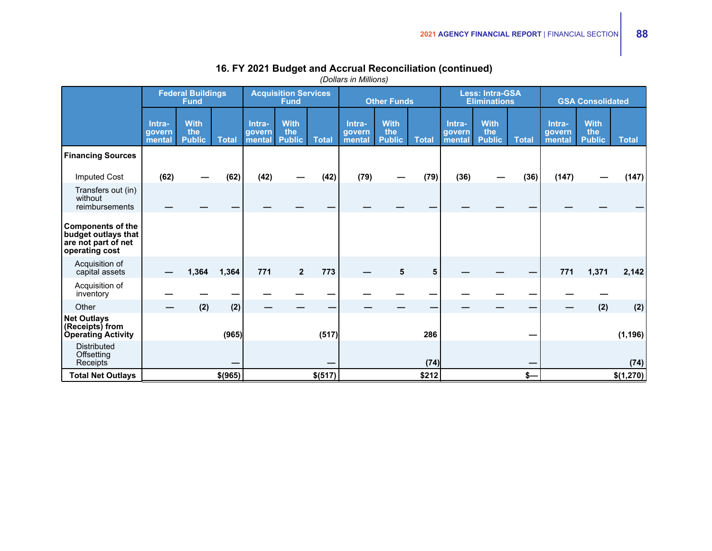|                                                                                          |                            | <b>Federal Buildings</b><br><b>Fund</b> |              |                            | <b>Acquisition Services</b><br><b>Fund</b> |              |                            | <b>Other Funds</b>                  |              |                            | <b>Less: Intra-GSA</b><br><b>Eliminations</b> |              |                            | <b>GSA Consolidated</b>             |              |
|------------------------------------------------------------------------------------------|----------------------------|-----------------------------------------|--------------|----------------------------|--------------------------------------------|--------------|----------------------------|-------------------------------------|--------------|----------------------------|-----------------------------------------------|--------------|----------------------------|-------------------------------------|--------------|
|                                                                                          | Intra-<br>govern<br>mental | <b>With</b><br>the<br><b>Public</b>     | <b>Total</b> | Intra-<br>govern<br>mental | <b>With</b><br>the<br><b>Public</b>        | <b>Total</b> | Intra-<br>govern<br>mental | <b>With</b><br>the<br><b>Public</b> | <b>Total</b> | Intra-<br>govern<br>mental | <b>With</b><br>the<br><b>Public</b>           | <b>Total</b> | Intra-<br>govern<br>mental | <b>With</b><br>the<br><b>Public</b> | <b>Total</b> |
| <b>Financing Sources</b>                                                                 |                            |                                         |              |                            |                                            |              |                            |                                     |              |                            |                                               |              |                            |                                     |              |
| <b>Imputed Cost</b>                                                                      | (62)                       |                                         | (62)         | (42)                       |                                            | (42)         | (79)                       |                                     | (79)         | (36)                       |                                               | (36)         | (147)                      |                                     | (147)        |
| Transfers out (in)<br>without<br>reimbursements                                          |                            |                                         |              |                            |                                            |              |                            |                                     |              |                            |                                               |              |                            |                                     |              |
| <b>Components of the</b><br>budget outlays that<br>are not part of net<br>operating cost |                            |                                         |              |                            |                                            |              |                            |                                     |              |                            |                                               |              |                            |                                     |              |
| Acquisition of<br>capital assets                                                         |                            | 1,364                                   | 1,364        | 771                        | $\mathbf{2}$                               | 773          |                            | 5                                   | 5            |                            |                                               |              | 771                        | 1,371                               | 2,142        |
| Acquisition of<br>inventory                                                              |                            |                                         |              |                            |                                            |              |                            |                                     |              |                            |                                               |              |                            |                                     |              |
| Other                                                                                    |                            | (2)                                     | (2)          |                            |                                            |              |                            |                                     |              |                            |                                               |              |                            | (2)                                 | (2)          |
| <b>Net Outlays</b><br>(Receipts) from<br><b>Operating Activity</b>                       |                            |                                         | (965)        |                            |                                            | (517)        |                            |                                     | 286          |                            |                                               |              |                            |                                     | (1, 196)     |
| <b>Distributed</b><br>Offsetting<br>Receipts                                             |                            |                                         |              |                            |                                            |              |                            |                                     | (74)         |                            |                                               |              |                            |                                     | (74)         |
| <b>Total Net Outlays</b>                                                                 |                            |                                         | \$(965)      |                            |                                            | \$(517)      |                            |                                     | \$212        |                            |                                               | $s-$         |                            |                                     | \$(1,270)    |

### **16. FY 2021 Budget and Accrual Reconciliation (continued)**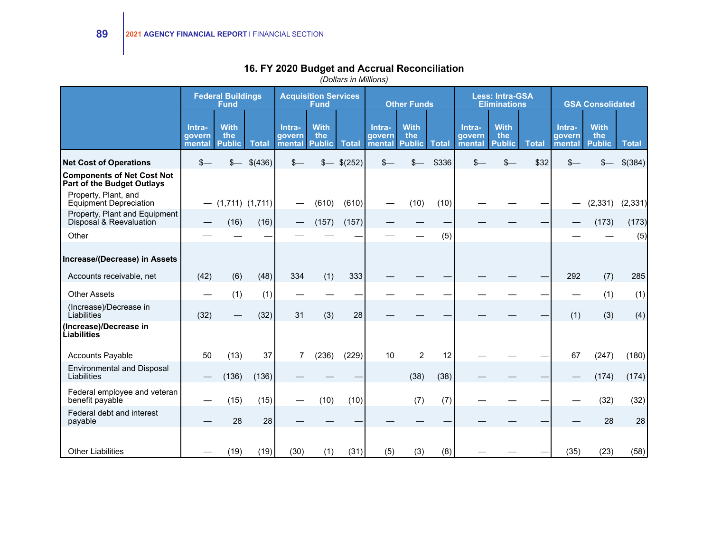|                                                                        |                            | <b>Federal Buildings</b><br><b>Fund</b> |              |                            | <b>Acquisition Services</b><br><b>Fund</b> |              |                            | <b>Other Funds</b>                  |              |                            | <b>Less: Intra-GSA</b><br><b>Eliminations</b> |              |                            | <b>GSA Consolidated</b>             |              |
|------------------------------------------------------------------------|----------------------------|-----------------------------------------|--------------|----------------------------|--------------------------------------------|--------------|----------------------------|-------------------------------------|--------------|----------------------------|-----------------------------------------------|--------------|----------------------------|-------------------------------------|--------------|
|                                                                        | Intra-<br>govern<br>mental | <b>With</b><br>the<br><b>Public</b>     | <b>Total</b> | Intra-<br>govern<br>mental | <b>With</b><br>the<br><b>Public</b>        | <b>Total</b> | Intra-<br>govern<br>mental | <b>With</b><br>the<br><b>Public</b> | <b>Total</b> | Intra-<br>govern<br>mental | <b>With</b><br>the<br><b>Public</b>           | <b>Total</b> | Intra-<br>govern<br>mental | <b>With</b><br>the<br><b>Public</b> | <b>Total</b> |
| <b>Net Cost of Operations</b>                                          | $s-$                       |                                         | \$(436)      | $s-$                       |                                            | \$(252)      | \$-                        |                                     | \$336        |                            |                                               | \$32         |                            |                                     | \$(384)      |
| <b>Components of Net Cost Not</b><br><b>Part of the Budget Outlays</b> |                            |                                         |              |                            |                                            |              |                            |                                     |              |                            |                                               |              |                            |                                     |              |
| Property, Plant, and<br><b>Equipment Depreciation</b>                  |                            | $-$ (1,711) (1,711)                     |              |                            | (610)                                      | (610)        |                            | (10)                                | (10)         |                            |                                               |              |                            | (2, 331)                            | (2, 331)     |
| Property, Plant and Equipment<br>Disposal & Reevaluation               |                            | (16)                                    | (16)         |                            | (157)                                      | (157)        |                            |                                     |              |                            |                                               |              |                            | (173)                               | (173)        |
| Other                                                                  |                            |                                         |              |                            |                                            |              |                            |                                     | (5)          |                            |                                               |              |                            |                                     | (5)          |
| Increase/(Decrease) in Assets                                          |                            |                                         |              |                            |                                            |              |                            |                                     |              |                            |                                               |              |                            |                                     |              |
| Accounts receivable, net                                               | (42)                       | (6)                                     | (48)         | 334                        | (1)                                        | 333          |                            |                                     |              |                            |                                               |              | 292                        | (7)                                 | 285          |
| <b>Other Assets</b>                                                    |                            | (1)                                     | (1)          |                            |                                            |              |                            |                                     |              |                            |                                               |              |                            | (1)                                 | (1)          |
| (Increase)/Decrease in<br>Liabilities                                  | (32)                       |                                         | (32)         | 31                         | (3)                                        | 28           |                            |                                     |              |                            |                                               |              | (1)                        | (3)                                 | (4)          |
| (Increase)/Decrease in<br>Liabilities                                  |                            |                                         |              |                            |                                            |              |                            |                                     |              |                            |                                               |              |                            |                                     |              |
| <b>Accounts Payable</b>                                                | 50                         | (13)                                    | 37           |                            | (236)                                      | (229)        | 10                         | $\overline{2}$                      | 12           |                            |                                               |              | 67                         | (247)                               | (180)        |
| <b>Environmental and Disposal</b><br>Liabilities                       |                            | (136)                                   | (136)        |                            |                                            |              |                            | (38)                                | (38)         |                            |                                               |              |                            | (174)                               | (174)        |
| Federal employee and veteran<br>benefit payable                        |                            | (15)                                    | (15)         |                            | (10)                                       | (10)         |                            | (7)                                 | (7)          |                            |                                               |              |                            | (32)                                | (32)         |
| Federal debt and interest<br>payable                                   |                            | 28                                      | 28           |                            |                                            |              |                            |                                     |              |                            |                                               |              |                            | 28                                  | 28           |
| <b>Other Liabilities</b>                                               |                            | (19)                                    | (19)         | (30)                       | (1)                                        | (31)         | (5)                        | (3)                                 | (8)          |                            |                                               |              | (35)                       | (23)                                | (58)         |

### **16. FY 2020 Budget and Accrual Reconciliation**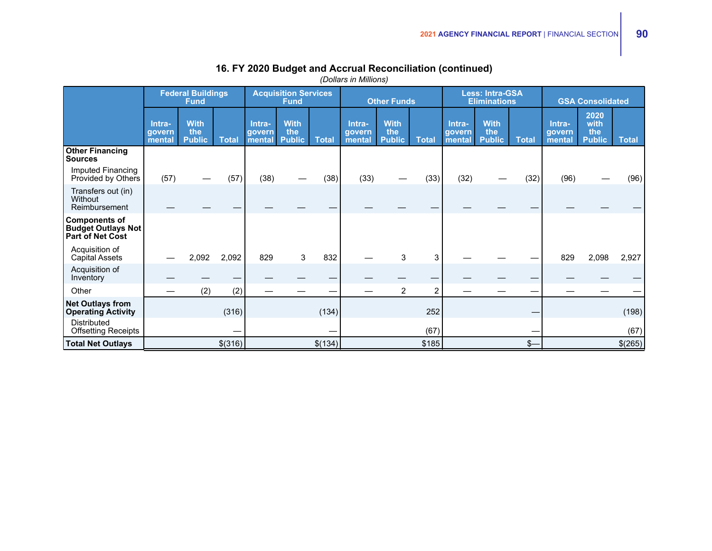|                                                                       |                            | <b>Federal Buildings</b><br><b>Fund</b> |              |                            | <b>Acquisition Services</b><br><b>Fund</b> |              |                            | <b>Other Funds</b>                  |                |                            | <b>Less: Intra-GSA</b><br><b>Eliminations</b> |              |                            | <b>GSA Consolidated</b>              |              |
|-----------------------------------------------------------------------|----------------------------|-----------------------------------------|--------------|----------------------------|--------------------------------------------|--------------|----------------------------|-------------------------------------|----------------|----------------------------|-----------------------------------------------|--------------|----------------------------|--------------------------------------|--------------|
|                                                                       | Intra-<br>qovern<br>mental | <b>With</b><br>the<br><b>Public</b>     | <b>Total</b> | Intra-<br>govern<br>mental | <b>With</b><br>the<br><b>Public</b>        | <b>Total</b> | Intra-<br>qovern<br>mental | <b>With</b><br>the<br><b>Public</b> | <b>Total</b>   | Intra-<br>qovern<br>mental | <b>With</b><br>the<br><b>Public</b>           | <b>Total</b> | Intra-<br>qovern<br>mental | 2020<br>with<br>the<br><b>Public</b> | <b>Total</b> |
| <b>Other Financing</b><br><b>Sources</b>                              |                            |                                         |              |                            |                                            |              |                            |                                     |                |                            |                                               |              |                            |                                      |              |
| Imputed Financing<br>Provided by Others                               | (57)                       |                                         | (57)         | (38)                       |                                            | (38)         | (33)                       |                                     | (33)           | (32)                       |                                               | (32)         | (96)                       |                                      | (96)         |
| Transfers out (in)<br>Without<br>Reimbursement                        |                            |                                         |              |                            |                                            |              |                            |                                     |                |                            |                                               |              |                            |                                      |              |
| <b>Components of</b><br><b>Budget Outlays Not</b><br>Part of Net Cost |                            |                                         |              |                            |                                            |              |                            |                                     |                |                            |                                               |              |                            |                                      |              |
| Acquisition of<br><b>Capital Assets</b>                               |                            | 2,092                                   | 2,092        | 829                        | 3                                          | 832          |                            | 3                                   | 3              |                            |                                               |              | 829                        | 2,098                                | 2,927        |
| Acquisition of<br>Inventory                                           |                            |                                         |              |                            |                                            |              |                            |                                     |                |                            |                                               |              |                            |                                      |              |
| Other                                                                 |                            | (2)                                     | (2)          |                            |                                            |              |                            | $\overline{2}$                      | $\overline{c}$ |                            |                                               |              |                            |                                      |              |
| <b>Net Outlays from</b><br><b>Operating Activity</b>                  |                            |                                         | (316)        |                            |                                            | (134)        |                            |                                     | 252            |                            |                                               |              |                            |                                      | (198)        |
| <b>Distributed</b><br><b>Offsetting Receipts</b>                      |                            |                                         |              |                            |                                            |              |                            |                                     | (67)           |                            |                                               |              |                            |                                      | (67)         |
| <b>Total Net Outlays</b>                                              |                            |                                         | \$(316)      |                            |                                            | \$(134)      |                            |                                     | \$185          |                            |                                               | $S-$         |                            |                                      | \$(265)      |

### **16. FY 2020 Budget and Accrual Reconciliation (continued)**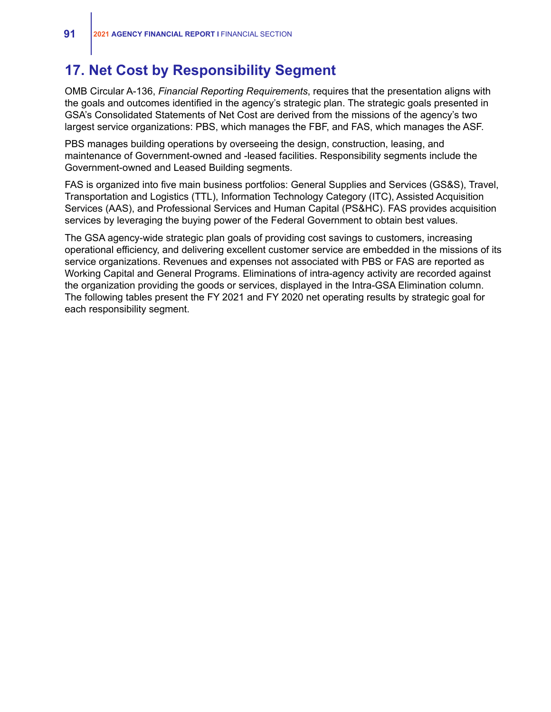## **17. Net Cost by Responsibility Segment**

OMB Circular A-136, *Financial Reporting Requirements*, requires that the presentation aligns with the goals and outcomes identified in the agency's strategic plan. The strategic goals presented in GSA's Consolidated Statements of Net Cost are derived from the missions of the agency's two largest service organizations: PBS, which manages the FBF, and FAS, which manages the ASF.

PBS manages building operations by overseeing the design, construction, leasing, and maintenance of Government-owned and -leased facilities. Responsibility segments include the Government-owned and Leased Building segments.

FAS is organized into five main business portfolios: General Supplies and Services (GS&S), Travel, Transportation and Logistics (TTL), Information Technology Category (ITC), Assisted Acquisition Services (AAS), and Professional Services and Human Capital (PS&HC). FAS provides acquisition services by leveraging the buying power of the Federal Government to obtain best values.

The GSA agency-wide strategic plan goals of providing cost savings to customers, increasing operational efficiency, and delivering excellent customer service are embedded in the missions of its service organizations. Revenues and expenses not associated with PBS or FAS are reported as Working Capital and General Programs. Eliminations of intra-agency activity are recorded against the organization providing the goods or services, displayed in the Intra-GSA Elimination column. The following tables present the FY 2021 and FY 2020 net operating results by strategic goal for each responsibility segment.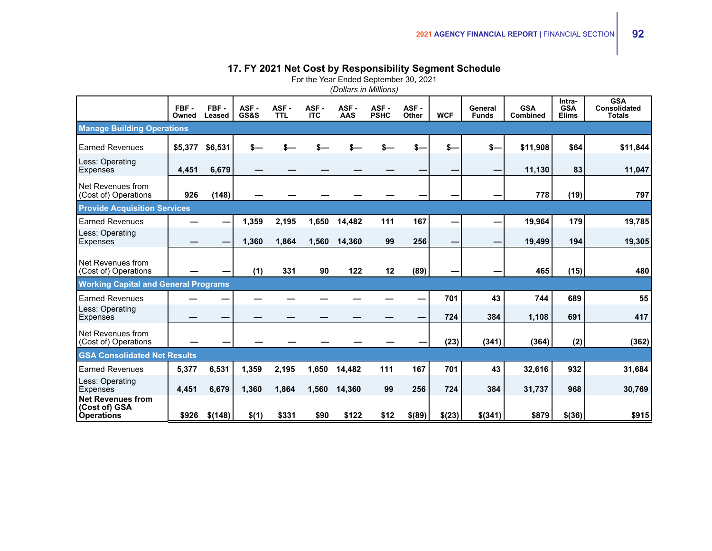### **17. FY 2021 Net Cost by Responsibility Segment Schedule**

For the Year Ended September 30, 2021

|                                                                | FBF-<br>Owned | FBF-<br>Leased | ASF-<br>GS&S | ASF -<br><b>TTL</b> | ASF-<br><b>ITC</b> | ASF-<br>AAS | ASF-<br><b>PSHC</b> | ASF-<br>Other | <b>WCF</b> | General<br><b>Funds</b> | <b>GSA</b><br>Combined | Intra-<br><b>GSA</b><br><b>Elims</b> | <b>GSA</b><br><b>Consolidated</b><br><b>Totals</b> |
|----------------------------------------------------------------|---------------|----------------|--------------|---------------------|--------------------|-------------|---------------------|---------------|------------|-------------------------|------------------------|--------------------------------------|----------------------------------------------------|
| <b>Manage Building Operations</b>                              |               |                |              |                     |                    |             |                     |               |            |                         |                        |                                      |                                                    |
| <b>Earned Revenues</b>                                         | \$5,377       | \$6,531        |              |                     |                    |             |                     |               | \$-        | \$-                     | \$11,908               | \$64                                 | \$11,844                                           |
| Less: Operating<br>Expenses                                    | 4,451         | 6,679          |              |                     |                    |             |                     |               |            |                         | 11,130                 | 83                                   | 11,047                                             |
| Net Revenues from<br>(Cost of) Operations                      | 926           | (148)          |              |                     |                    |             |                     |               |            |                         | 778                    | (19)                                 | 797                                                |
| <b>Provide Acquisition Services</b>                            |               |                |              |                     |                    |             |                     |               |            |                         |                        |                                      |                                                    |
| <b>Earned Revenues</b>                                         |               |                | 1,359        | 2,195               | 1,650              | 14,482      | 111                 | 167           |            |                         | 19,964                 | 179                                  | 19,785                                             |
| Less: Operating<br><b>Expenses</b>                             |               |                | 1,360        | 1,864               | 1,560              | 14,360      | 99                  | 256           |            |                         | 19,499                 | 194                                  | 19,305                                             |
| Net Revenues from<br>(Cost of) Operations                      |               |                | (1)          | 331                 | 90                 | 122         | 12                  | (89)          |            |                         | 465                    | (15)                                 | 480                                                |
| <b>Working Capital and General Programs</b>                    |               |                |              |                     |                    |             |                     |               |            |                         |                        |                                      |                                                    |
| <b>Earned Revenues</b>                                         |               |                |              |                     |                    |             |                     |               | 701        | 43                      | 744                    | 689                                  | 55                                                 |
| Less: Operating<br><b>Expenses</b>                             |               |                |              |                     |                    |             |                     |               | 724        | 384                     | 1,108                  | 691                                  | 417                                                |
| Net Revenues from<br>(Cost of) Operations                      |               |                |              |                     |                    |             |                     |               | (23)       | (341)                   | (364)                  | (2)                                  | (362)                                              |
| <b>GSA Consolidated Net Results</b>                            |               |                |              |                     |                    |             |                     |               |            |                         |                        |                                      |                                                    |
| <b>Earned Revenues</b>                                         | 5,377         | 6,531          | 1,359        | 2,195               | 1,650              | 14,482      | 111                 | 167           | 701        | 43                      | 32,616                 | 932                                  | 31,684                                             |
| Less: Operating<br>Expenses                                    | 4,451         | 6,679          | 1,360        | 1,864               | 1,560              | 14,360      | 99                  | 256           | 724        | 384                     | 31,737                 | 968                                  | 30,769                                             |
| <b>Net Revenues from</b><br>(Cost of) GSA<br><b>Operations</b> | \$926         | \$(148)        | \$(1)        | \$331               | \$90               | \$122       | \$12                | \$(89)        | \$(23)     | \$(341)                 | \$879                  | \$(36)                               | \$915                                              |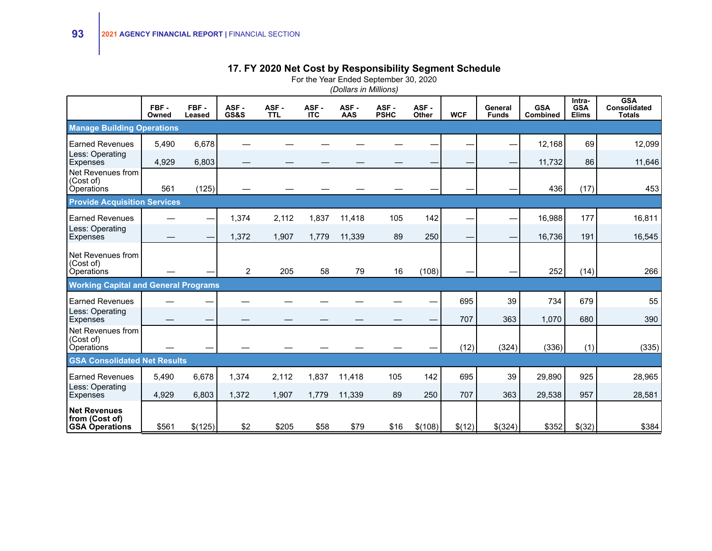### **17. FY 2020 Net Cost by Responsibility Segment Schedule**

For the Year Ended September 30, 2020

|                                                                | FBF-<br>Owned | FBF-<br>Leased | ASF-<br><b>GS&amp;S</b> | ASF-<br><b>TTL</b> | ASF-<br><b>ITC</b> | ASF-<br>AAS | ASF-<br><b>PSHC</b> | ASF-<br>Other | <b>WCF</b>               | General<br><b>Funds</b> | <b>GSA</b><br><b>Combined</b> | Intra-<br><b>GSA</b><br><b>Elims</b> | <b>GSA</b><br><b>Consolidated</b><br><b>Totals</b> |
|----------------------------------------------------------------|---------------|----------------|-------------------------|--------------------|--------------------|-------------|---------------------|---------------|--------------------------|-------------------------|-------------------------------|--------------------------------------|----------------------------------------------------|
| <b>Manage Building Operations</b>                              |               |                |                         |                    |                    |             |                     |               |                          |                         |                               |                                      |                                                    |
| <b>Earned Revenues</b>                                         | 5,490         | 6,678          |                         |                    |                    |             |                     |               |                          |                         | 12,168                        | 69                                   | 12,099                                             |
| Less: Operating<br>Expenses                                    | 4,929         | 6,803          |                         |                    |                    |             |                     |               |                          |                         | 11,732                        | 86                                   | 11,646                                             |
| Net Revenues from<br>(Cost of)                                 | 561           | (125)          |                         |                    |                    |             |                     |               |                          |                         | 436                           | (17)                                 | 453                                                |
| <b>Operations</b><br><b>Provide Acquisition Services</b>       |               |                |                         |                    |                    |             |                     |               |                          |                         |                               |                                      |                                                    |
|                                                                |               |                |                         |                    |                    |             |                     |               |                          |                         |                               |                                      |                                                    |
| <b>Earned Revenues</b><br>Less: Operating                      |               |                | 1,374                   | 2,112              | 1,837              | 11,418      | 105                 | 142           | $\overline{\phantom{0}}$ |                         | 16,988                        | 177                                  | 16,811                                             |
| Expenses                                                       |               |                | 1,372                   | 1,907              | 1,779              | 11,339      | 89                  | 250           | -                        |                         | 16,736                        | 191                                  | 16,545                                             |
| Net Revenues from<br>(Cost of)                                 |               |                |                         |                    |                    |             |                     |               |                          |                         |                               |                                      |                                                    |
| Operations                                                     |               |                | $\overline{2}$          | 205                | 58                 | 79          | 16                  | (108)         |                          |                         | 252                           | (14)                                 | 266                                                |
| <b>Working Capital and General Programs</b>                    |               |                |                         |                    |                    |             |                     |               |                          |                         |                               |                                      |                                                    |
| <b>Earned Revenues</b>                                         |               |                |                         |                    |                    |             |                     |               | 695                      | 39                      | 734                           | 679                                  | 55                                                 |
| Less: Operating<br>Expenses                                    |               |                |                         |                    |                    |             |                     |               | 707                      | 363                     | 1,070                         | 680                                  | 390                                                |
| Net Revenues from<br>(Cost of)                                 |               |                |                         |                    |                    |             |                     |               |                          |                         |                               |                                      |                                                    |
| Operations                                                     |               |                |                         |                    |                    |             |                     |               | (12)                     | (324)                   | (336)                         | (1)                                  | (335)                                              |
| <b>GSA Consolidated Net Results</b>                            |               |                |                         |                    |                    |             |                     |               |                          |                         |                               |                                      |                                                    |
| <b>Earned Revenues</b>                                         | 5,490         | 6,678          | 1,374                   | 2,112              | 1,837              | 11,418      | 105                 | 142           | 695                      | 39                      | 29,890                        | 925                                  | 28,965                                             |
| Less: Operating<br>Expenses                                    | 4,929         | 6,803          | 1,372                   | 1,907              | 1,779              | 11,339      | 89                  | 250           | 707                      | 363                     | 29,538                        | 957                                  | 28,581                                             |
| <b>Net Revenues</b><br>from (Cost of)<br><b>GSA Operations</b> | \$561         | \$(125)        | \$2                     | \$205              | \$58               | \$79        | \$16                | \$(108)       | \$(12)                   | \$(324)                 | \$352                         | \$(32)                               | \$384                                              |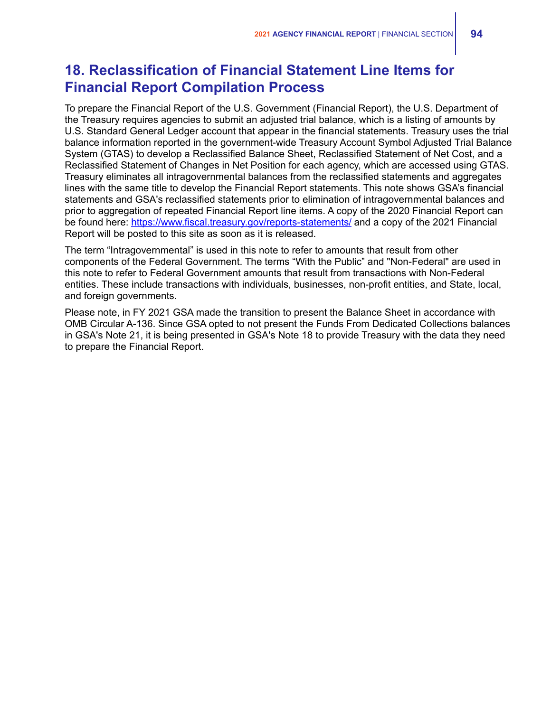# **18. Reclassification of Financial Statement Line Items for Financial Report Compilation Process**

To prepare the Financial Report of the U.S. Government (Financial Report), the U.S. Department of the Treasury requires agencies to submit an adjusted trial balance, which is a listing of amounts by U.S. Standard General Ledger account that appear in the financial statements. Treasury uses the trial balance information reported in the government-wide Treasury Account Symbol Adjusted Trial Balance System (GTAS) to develop a Reclassified Balance Sheet, Reclassified Statement of Net Cost, and a Reclassified Statement of Changes in Net Position for each agency, which are accessed using GTAS. Treasury eliminates all intragovernmental balances from the reclassified statements and aggregates lines with the same title to develop the Financial Report statements. This note shows GSA's financial statements and GSA's reclassified statements prior to elimination of intragovernmental balances and prior to aggregation of repeated Financial Report line items. A copy of the 2020 Financial Report can be found here: <https://www.fiscal.treasury.gov/reports-statements/> and a copy of the 2021 Financial Report will be posted to this site as soon as it is released.

The term "Intragovernmental" is used in this note to refer to amounts that result from other components of the Federal Government. The terms "With the Public" and "Non-Federal" are used in this note to refer to Federal Government amounts that result from transactions with Non-Federal entities. These include transactions with individuals, businesses, non-profit entities, and State, local, and foreign governments.

Please note, in FY 2021 GSA made the transition to present the Balance Sheet in accordance with OMB Circular A-136. Since GSA opted to not present the Funds From Dedicated Collections balances in GSA's Note 21, it is being presented in GSA's Note 18 to provide Treasury with the data they need to prepare the Financial Report.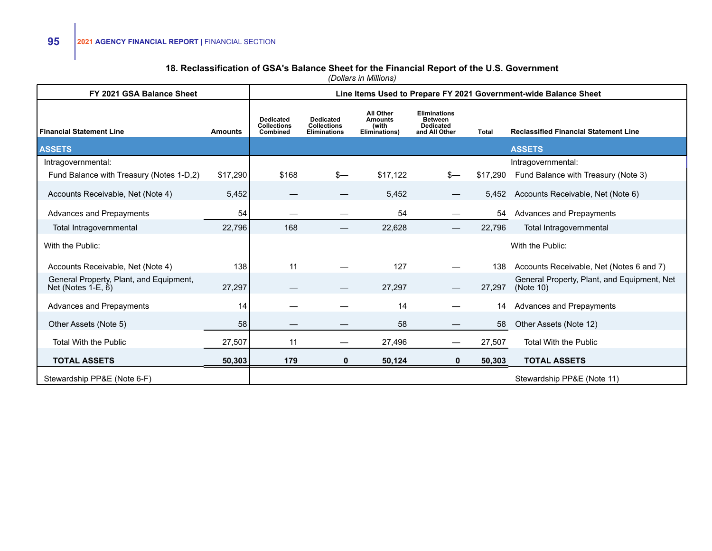### **18. Reclassification of GSA's Balance Sheet for the Financial Report of the U.S. Government**

| FY 2021 GSA Balance Sheet                                           |                |                                                    |                                                               |                                                       |                                                                            |              | Line Items Used to Prepare FY 2021 Government-wide Balance Sheet |
|---------------------------------------------------------------------|----------------|----------------------------------------------------|---------------------------------------------------------------|-------------------------------------------------------|----------------------------------------------------------------------------|--------------|------------------------------------------------------------------|
| <b>Financial Statement Line</b>                                     | <b>Amounts</b> | <b>Dedicated</b><br><b>Collections</b><br>Combined | <b>Dedicated</b><br><b>Collections</b><br><b>Eliminations</b> | All Other<br><b>Amounts</b><br>(with<br>Eliminations) | <b>Eliminations</b><br><b>Between</b><br><b>Dedicated</b><br>and All Other | <b>Total</b> | <b>Reclassified Financial Statement Line</b>                     |
| <b>ASSETS</b>                                                       |                |                                                    |                                                               |                                                       |                                                                            |              | <b>ASSETS</b>                                                    |
| Intragovernmental:                                                  |                |                                                    |                                                               |                                                       |                                                                            |              | Intragovernmental:                                               |
| Fund Balance with Treasury (Notes 1-D,2)                            | \$17,290       | \$168                                              | $s-$                                                          | \$17,122                                              | $s-$                                                                       | \$17,290     | Fund Balance with Treasury (Note 3)                              |
| Accounts Receivable, Net (Note 4)                                   | 5,452          |                                                    |                                                               | 5,452                                                 |                                                                            |              | 5,452 Accounts Receivable, Net (Note 6)                          |
| Advances and Prepayments                                            | 54             |                                                    |                                                               | 54                                                    |                                                                            | 54           | <b>Advances and Prepayments</b>                                  |
| Total Intragovernmental                                             | 22,796         | 168                                                |                                                               | 22,628                                                |                                                                            | 22,796       | Total Intragovernmental                                          |
| With the Public:                                                    |                |                                                    |                                                               |                                                       |                                                                            |              | With the Public:                                                 |
| Accounts Receivable, Net (Note 4)                                   | 138            | 11                                                 |                                                               | 127                                                   |                                                                            | 138          | Accounts Receivable, Net (Notes 6 and 7)                         |
| General Property, Plant, and Equipment,<br>Net (Notes $1-E$ , $6$ ) | 27,297         |                                                    |                                                               | 27,297                                                |                                                                            | 27,297       | General Property, Plant, and Equipment, Net<br>(Note $10$ )      |
| Advances and Prepayments                                            | 14             |                                                    |                                                               | 14                                                    |                                                                            | 14           | Advances and Prepayments                                         |
| Other Assets (Note 5)                                               | 58             |                                                    |                                                               | 58                                                    |                                                                            | 58           | Other Assets (Note 12)                                           |
| <b>Total With the Public</b>                                        | 27,507         | 11                                                 |                                                               | 27,496                                                | —                                                                          | 27,507       | <b>Total With the Public</b>                                     |
| <b>TOTAL ASSETS</b>                                                 | 50,303         | 179                                                | 0                                                             | 50,124                                                | 0                                                                          | 50,303       | <b>TOTAL ASSETS</b>                                              |
| Stewardship PP&E (Note 6-F)                                         |                |                                                    |                                                               |                                                       |                                                                            |              | Stewardship PP&E (Note 11)                                       |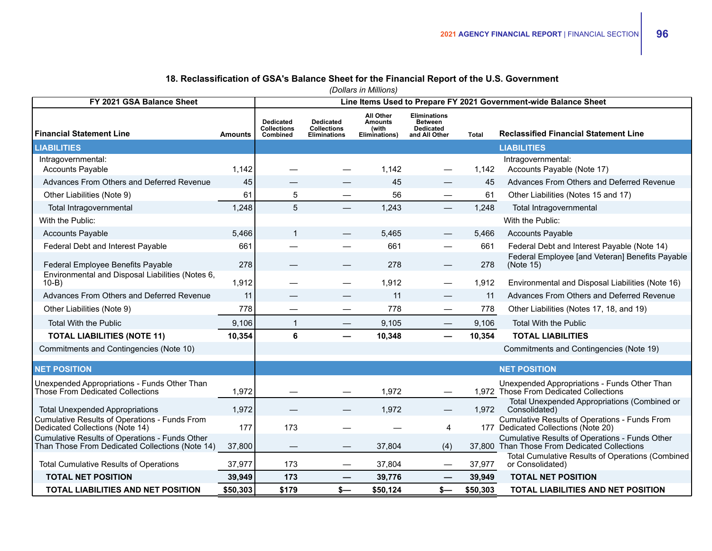### **18. Reclassification of GSA's Balance Sheet for the Financial Report of the U.S. Government**

| FY 2021 GSA Balance Sheet                                                                         |                |                                                    |                                                               |                                                              |                                                                            |          | Line Items Used to Prepare FY 2021 Government-wide Balance Sheet                               |  |  |  |
|---------------------------------------------------------------------------------------------------|----------------|----------------------------------------------------|---------------------------------------------------------------|--------------------------------------------------------------|----------------------------------------------------------------------------|----------|------------------------------------------------------------------------------------------------|--|--|--|
| <b>Financial Statement Line</b>                                                                   | <b>Amounts</b> | <b>Dedicated</b><br><b>Collections</b><br>Combined | <b>Dedicated</b><br><b>Collections</b><br><b>Eliminations</b> | <b>All Other</b><br><b>Amounts</b><br>(with<br>Eliminations) | <b>Eliminations</b><br><b>Between</b><br><b>Dedicated</b><br>and All Other | Total    | <b>Reclassified Financial Statement Line</b>                                                   |  |  |  |
| <b>LIABILITIES</b>                                                                                |                |                                                    |                                                               |                                                              |                                                                            |          | <b>LIABILITIES</b>                                                                             |  |  |  |
| Intragovernmental:<br><b>Accounts Payable</b>                                                     | 1,142          |                                                    |                                                               | 1,142                                                        |                                                                            | 1,142    | Intragovernmental:<br>Accounts Payable (Note 17)                                               |  |  |  |
| Advances From Others and Deferred Revenue                                                         | 45             |                                                    |                                                               | 45                                                           |                                                                            | 45       | Advances From Others and Deferred Revenue                                                      |  |  |  |
| Other Liabilities (Note 9)                                                                        | 61             | 5                                                  |                                                               | 56                                                           | $\qquad \qquad$                                                            | 61       | Other Liabilities (Notes 15 and 17)                                                            |  |  |  |
| Total Intragovernmental                                                                           | 1,248          | 5                                                  |                                                               | 1,243                                                        |                                                                            | 1,248    | Total Intragovernmental                                                                        |  |  |  |
| With the Public:                                                                                  |                |                                                    |                                                               |                                                              |                                                                            |          | With the Public:                                                                               |  |  |  |
| <b>Accounts Payable</b>                                                                           | 5,466          | $\mathbf{1}$                                       |                                                               | 5,465                                                        |                                                                            | 5,466    | <b>Accounts Payable</b>                                                                        |  |  |  |
| Federal Debt and Interest Payable                                                                 | 661            |                                                    |                                                               | 661                                                          |                                                                            | 661      | Federal Debt and Interest Payable (Note 14)                                                    |  |  |  |
| Federal Employee Benefits Payable                                                                 | 278            |                                                    |                                                               | 278                                                          |                                                                            | 278      | Federal Employee [and Veteran] Benefits Payable<br>(Note 15)                                   |  |  |  |
| Environmental and Disposal Liabilities (Notes 6,<br>$10-B$                                        | 1,912          |                                                    |                                                               | 1,912                                                        |                                                                            | 1,912    | Environmental and Disposal Liabilities (Note 16)                                               |  |  |  |
| Advances From Others and Deferred Revenue                                                         | 11             |                                                    |                                                               | 11                                                           | $\qquad \qquad$                                                            | 11       | Advances From Others and Deferred Revenue                                                      |  |  |  |
| Other Liabilities (Note 9)                                                                        | 778            |                                                    |                                                               | 778                                                          | —                                                                          | 778      | Other Liabilities (Notes 17, 18, and 19)                                                       |  |  |  |
| <b>Total With the Public</b>                                                                      | 9,106          | $\mathbf{1}$                                       |                                                               | 9,105                                                        | $\qquad \qquad$                                                            | 9,106    | <b>Total With the Public</b>                                                                   |  |  |  |
| <b>TOTAL LIABILITIES (NOTE 11)</b>                                                                | 10,354         | 6                                                  |                                                               | 10,348                                                       |                                                                            | 10,354   | <b>TOTAL LIABILITIES</b>                                                                       |  |  |  |
| Commitments and Contingencies (Note 10)                                                           |                |                                                    |                                                               |                                                              |                                                                            |          | Commitments and Contingencies (Note 19)                                                        |  |  |  |
| <b>NET POSITION</b>                                                                               |                |                                                    |                                                               |                                                              |                                                                            |          | <b>NET POSITION</b>                                                                            |  |  |  |
| Unexpended Appropriations - Funds Other Than<br>Those From Dedicated Collections                  | 1,972          |                                                    |                                                               | 1,972                                                        |                                                                            |          | Unexpended Appropriations - Funds Other Than<br>1,972 Those From Dedicated Collections         |  |  |  |
| <b>Total Unexpended Appropriations</b>                                                            | 1,972          |                                                    |                                                               | 1,972                                                        |                                                                            | 1,972    | Total Unexpended Appropriations (Combined or<br>Consolidated)                                  |  |  |  |
| Cumulative Results of Operations - Funds From<br>Dedicated Collections (Note 14)                  | 177            | 173                                                |                                                               |                                                              | 4                                                                          |          | Cumulative Results of Operations - Funds From<br>177 Dedicated Collections (Note 20)           |  |  |  |
| Cumulative Results of Operations - Funds Other<br>Than Those From Dedicated Collections (Note 14) | 37,800         | $\hspace{0.05cm}$                                  | —                                                             | 37,804                                                       | (4)                                                                        |          | Cumulative Results of Operations - Funds Other<br>37,800 Than Those From Dedicated Collections |  |  |  |
| <b>Total Cumulative Results of Operations</b>                                                     | 37,977         | 173                                                |                                                               | 37,804                                                       |                                                                            | 37,977   | <b>Total Cumulative Results of Operations (Combined</b><br>or Consolidated)                    |  |  |  |
| <b>TOTAL NET POSITION</b>                                                                         | 39,949         | 173                                                |                                                               | 39,776                                                       |                                                                            | 39,949   | <b>TOTAL NET POSITION</b>                                                                      |  |  |  |
| <b>TOTAL LIABILITIES AND NET POSITION</b>                                                         | \$50,303       | \$179                                              | $s-$                                                          | \$50,124                                                     | $s-$                                                                       | \$50,303 | <b>TOTAL LIABILITIES AND NET POSITION</b>                                                      |  |  |  |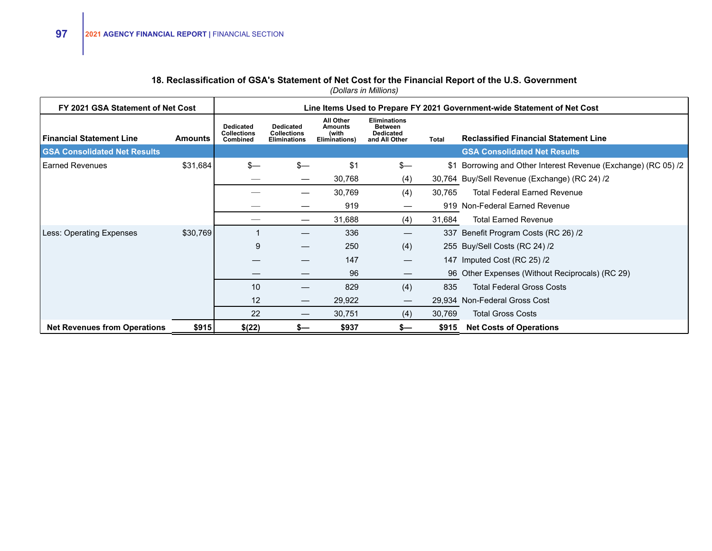### **18. Reclassification of GSA's Statement of Net Cost for the Financial Report of the U.S. Government**

| FY 2021 GSA Statement of Net Cost   |          |                                                    |                                                               |                                                              |                                                                            |              | Line Items Used to Prepare FY 2021 Government-wide Statement of Net Cost |
|-------------------------------------|----------|----------------------------------------------------|---------------------------------------------------------------|--------------------------------------------------------------|----------------------------------------------------------------------------|--------------|--------------------------------------------------------------------------|
| <b>Financial Statement Line</b>     | Amounts  | <b>Dedicated</b><br><b>Collections</b><br>Combined | <b>Dedicated</b><br><b>Collections</b><br><b>Eliminations</b> | <b>All Other</b><br><b>Amounts</b><br>(with<br>Eliminations) | <b>Eliminations</b><br><b>Between</b><br><b>Dedicated</b><br>and All Other | <b>Total</b> | <b>Reclassified Financial Statement Line</b>                             |
| <b>GSA Consolidated Net Results</b> |          |                                                    |                                                               |                                                              |                                                                            |              | <b>GSA Consolidated Net Results</b>                                      |
| Earned Revenues                     | \$31,684 | $s-$                                               | $s-$                                                          | \$1                                                          | $s-$                                                                       |              | \$1 Borrowing and Other Interest Revenue (Exchange) (RC 05) /2           |
|                                     |          |                                                    |                                                               | 30,768                                                       | (4)                                                                        |              | 30,764 Buy/Sell Revenue (Exchange) (RC 24) /2                            |
|                                     |          |                                                    |                                                               | 30,769                                                       | (4)                                                                        | 30,765       | <b>Total Federal Earned Revenue</b>                                      |
|                                     |          |                                                    |                                                               | 919                                                          |                                                                            |              | 919 Non-Federal Earned Revenue                                           |
|                                     |          |                                                    |                                                               | 31,688                                                       | (4)                                                                        | 31,684       | <b>Total Earned Revenue</b>                                              |
| Less: Operating Expenses            | \$30,769 |                                                    |                                                               | 336                                                          |                                                                            |              | 337 Benefit Program Costs (RC 26) /2                                     |
|                                     |          | 9                                                  |                                                               | 250                                                          | (4)                                                                        |              | 255 Buy/Sell Costs (RC 24) /2                                            |
|                                     |          |                                                    |                                                               | 147                                                          | $\hspace{0.05cm}$                                                          |              | 147 Imputed Cost (RC 25) /2                                              |
|                                     |          |                                                    |                                                               | 96                                                           |                                                                            |              | 96 Other Expenses (Without Reciprocals) (RC 29)                          |
|                                     |          | 10                                                 |                                                               | 829                                                          | (4)                                                                        | 835          | <b>Total Federal Gross Costs</b>                                         |
|                                     |          | 12                                                 |                                                               | 29,922                                                       | $\hspace{0.1mm}-\hspace{0.1mm}$                                            |              | 29,934 Non-Federal Gross Cost                                            |
|                                     |          | 22                                                 | $\hspace{0.05cm}$                                             | 30,751                                                       | (4)                                                                        | 30,769       | <b>Total Gross Costs</b>                                                 |
| <b>Net Revenues from Operations</b> | \$915    | \$(22)                                             | s—                                                            | \$937                                                        | $s-$                                                                       | \$915        | <b>Net Costs of Operations</b>                                           |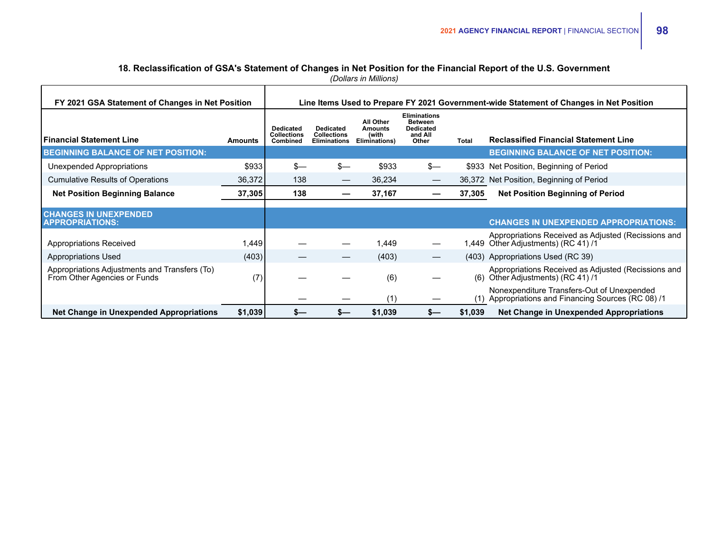## **18. Reclassification of GSA's Statement of Changes in Net Position for the Financial Report of the U.S. Government**

*(Dollars in Millions)*

| FY 2021 GSA Statement of Changes in Net Position                              |         |                                             |                                                               |                                                       |                                                                               |         | Line Items Used to Prepare FY 2021 Government-wide Statement of Changes in Net Position       |
|-------------------------------------------------------------------------------|---------|---------------------------------------------|---------------------------------------------------------------|-------------------------------------------------------|-------------------------------------------------------------------------------|---------|-----------------------------------------------------------------------------------------------|
| <b>Financial Statement Line</b>                                               | Amounts | Dedicated<br><b>Collections</b><br>Combined | <b>Dedicated</b><br><b>Collections</b><br><b>Eliminations</b> | All Other<br><b>Amounts</b><br>(with<br>Eliminations) | <b>Eliminations</b><br><b>Between</b><br><b>Dedicated</b><br>and All<br>Other | Total   | <b>Reclassified Financial Statement Line</b>                                                  |
| <b>BEGINNING BALANCE OF NET POSITION:</b>                                     |         |                                             |                                                               |                                                       |                                                                               |         | <b>BEGINNING BALANCE OF NET POSITION:</b>                                                     |
| Unexpended Appropriations                                                     | \$933   | $s-$                                        | $s-$                                                          | \$933                                                 | $s-$                                                                          |         | \$933 Net Position, Beginning of Period                                                       |
| <b>Cumulative Results of Operations</b>                                       | 36,372  | 138                                         |                                                               | 36,234                                                | —                                                                             |         | 36,372 Net Position, Beginning of Period                                                      |
| <b>Net Position Beginning Balance</b>                                         | 37,305  | 138                                         |                                                               | 37,167                                                |                                                                               | 37,305  | <b>Net Position Beginning of Period</b>                                                       |
| <b>CHANGES IN UNEXPENDED</b><br><b>APPROPRIATIONS:</b>                        |         |                                             |                                                               |                                                       |                                                                               |         | <b>CHANGES IN UNEXPENDED APPROPRIATIONS:</b>                                                  |
| <b>Appropriations Received</b>                                                | 1,449   |                                             |                                                               | 1,449                                                 |                                                                               |         | Appropriations Received as Adjusted (Recissions and<br>1,449 Other Adjustments) (RC 41) /1    |
| <b>Appropriations Used</b>                                                    | (403)   |                                             |                                                               | (403)                                                 |                                                                               |         | (403) Appropriations Used (RC 39)                                                             |
| Appropriations Adjustments and Transfers (To)<br>From Other Agencies or Funds | (7)     |                                             |                                                               | (6)                                                   |                                                                               | (6)     | Appropriations Received as Adjusted (Recissions and<br>Other Adjustments) (RC 41) /1          |
|                                                                               |         |                                             |                                                               | (1)                                                   |                                                                               | (1)     | Nonexpenditure Transfers-Out of Unexpended<br>Appropriations and Financing Sources (RC 08) /1 |
| <b>Net Change in Unexpended Appropriations</b>                                | \$1,039 |                                             |                                                               | \$1,039                                               | s—                                                                            | \$1,039 | <b>Net Change in Unexpended Appropriations</b>                                                |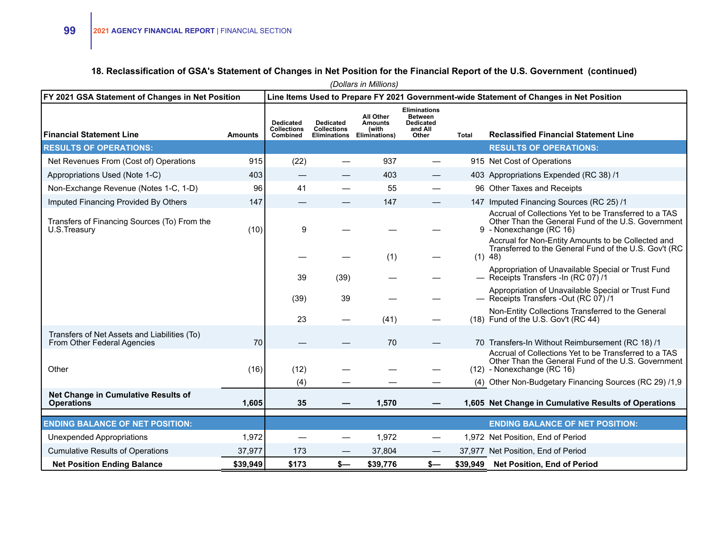### **18. Reclassification of GSA's Statement of Changes in Net Position for the Financial Report of the U.S. Government (continued)**

|                                                                             |                |                                                    |                                        | (Dollars in Millions)                                                     |                                                                               |       |                                                                                                                                           |
|-----------------------------------------------------------------------------|----------------|----------------------------------------------------|----------------------------------------|---------------------------------------------------------------------------|-------------------------------------------------------------------------------|-------|-------------------------------------------------------------------------------------------------------------------------------------------|
| FY 2021 GSA Statement of Changes in Net Position                            |                |                                                    |                                        |                                                                           |                                                                               |       | Line Items Used to Prepare FY 2021 Government-wide Statement of Changes in Net Position                                                   |
| <b>Financial Statement Line</b>                                             | <b>Amounts</b> | <b>Dedicated</b><br><b>Collections</b><br>Combined | <b>Dedicated</b><br><b>Collections</b> | All Other<br><b>Amounts</b><br>(with<br><b>Eliminations Eliminations)</b> | <b>Eliminations</b><br><b>Between</b><br><b>Dedicated</b><br>and All<br>Other | Total | <b>Reclassified Financial Statement Line</b>                                                                                              |
| <b>RESULTS OF OPERATIONS:</b>                                               |                |                                                    |                                        |                                                                           |                                                                               |       | <b>RESULTS OF OPERATIONS:</b>                                                                                                             |
| Net Revenues From (Cost of) Operations                                      | 915            | (22)                                               |                                        | 937                                                                       |                                                                               |       | 915 Net Cost of Operations                                                                                                                |
| Appropriations Used (Note 1-C)                                              | 403            | —                                                  |                                        | 403                                                                       |                                                                               |       | 403 Appropriations Expended (RC 38) /1                                                                                                    |
| Non-Exchange Revenue (Notes 1-C, 1-D)                                       | 96             | 41                                                 |                                        | 55                                                                        |                                                                               |       | 96 Other Taxes and Receipts                                                                                                               |
| Imputed Financing Provided By Others                                        | 147            | —                                                  |                                        | 147                                                                       |                                                                               |       | 147 Imputed Financing Sources (RC 25) /1                                                                                                  |
| Transfers of Financing Sources (To) From the<br>U.S.Treasury                | (10)           | 9                                                  |                                        |                                                                           |                                                                               |       | Accrual of Collections Yet to be Transferred to a TAS<br>Other Than the General Fund of the U.S. Government<br>9 - Nonexchange (RC 16)    |
|                                                                             |                |                                                    |                                        | (1)                                                                       |                                                                               |       | Accrual for Non-Entity Amounts to be Collected and<br>Transferred to the General Fund of the U.S. Gov't (RC<br>$(1)$ 48)                  |
|                                                                             |                | 39                                                 | (39)                                   |                                                                           |                                                                               |       | Appropriation of Unavailable Special or Trust Fund<br>- Receipts Transfers - In (RC 07) /1                                                |
|                                                                             |                | (39)                                               | 39                                     |                                                                           |                                                                               |       | Appropriation of Unavailable Special or Trust Fund<br>- Receipts Transfers -Out (RC 07) /1                                                |
|                                                                             |                | 23                                                 |                                        | (41)                                                                      |                                                                               |       | Non-Entity Collections Transferred to the General<br>(18) Fund of the U.S. Gov't (RC 44)                                                  |
| Transfers of Net Assets and Liabilities (To)<br>From Other Federal Agencies | 70             |                                                    |                                        | 70                                                                        |                                                                               |       | 70 Transfers-In Without Reimbursement (RC 18) /1                                                                                          |
| Other                                                                       | (16)           | (12)                                               |                                        |                                                                           |                                                                               |       | Accrual of Collections Yet to be Transferred to a TAS<br>Other Than the General Fund of the U.S. Government<br>(12) - Nonexchange (RC 16) |
|                                                                             |                | (4)                                                |                                        |                                                                           |                                                                               |       | (4) Other Non-Budgetary Financing Sources (RC 29) /1,9                                                                                    |
| Net Change in Cumulative Results of<br><b>Operations</b>                    | 1,605          | 35                                                 |                                        | 1,570                                                                     |                                                                               |       | 1,605 Net Change in Cumulative Results of Operations                                                                                      |
| <b>ENDING BALANCE OF NET POSITION:</b>                                      |                |                                                    |                                        |                                                                           |                                                                               |       | <b>ENDING BALANCE OF NET POSITION:</b>                                                                                                    |
| Unexpended Appropriations                                                   | 1,972          |                                                    |                                        | 1,972                                                                     |                                                                               |       | 1,972 Net Position, End of Period                                                                                                         |
| <b>Cumulative Results of Operations</b>                                     | 37,977         | 173                                                |                                        | 37,804                                                                    |                                                                               |       | 37,977 Net Position, End of Period                                                                                                        |
| <b>Net Position Ending Balance</b>                                          | \$39,949       | \$173                                              | $s-$                                   | \$39,776                                                                  | \$—                                                                           |       | \$39,949 Net Position, End of Period                                                                                                      |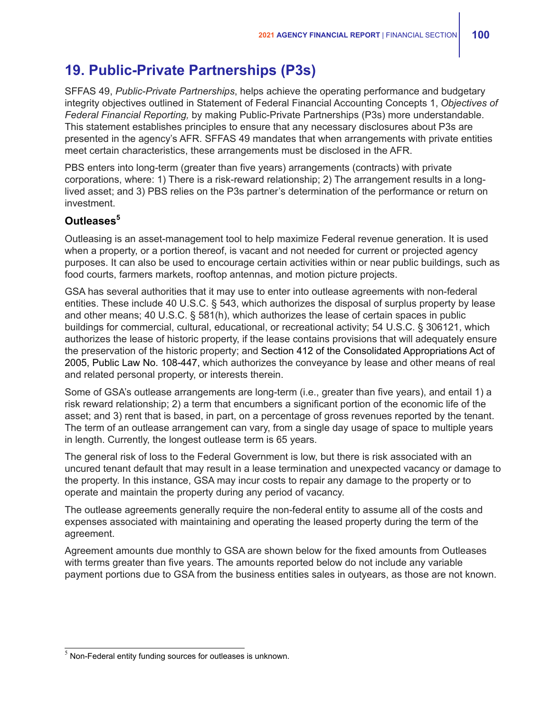## **19. Public-Private Partnerships (P3s)**

SFFAS 49, *Public-Private Partnerships*, helps achieve the operating performance and budgetary integrity objectives outlined in Statement of Federal Financial Accounting Concepts 1, *Objectives of Federal Financial Reporting,* by making Public-Private Partnerships (P3s) more understandable. This statement establishes principles to ensure that any necessary disclosures about P3s are presented in the agency's AFR. SFFAS 49 mandates that when arrangements with private entities meet certain characteristics, these arrangements must be disclosed in the AFR.

PBS enters into long-term (greater than five years) arrangements (contracts) with private corporations, where: 1) There is a risk-reward relationship; 2) The arrangement results in a longlived asset; and 3) PBS relies on the P3s partner's determination of the performance or return on investment.

### **Outleases<sup>5</sup>**

Outleasing is an asset-management tool to help maximize Federal revenue generation. It is used when a property, or a portion thereof, is vacant and not needed for current or projected agency purposes. It can also be used to encourage certain activities within or near public buildings, such as food courts, farmers markets, rooftop antennas, and motion picture projects.

GSA has several authorities that it may use to enter into outlease agreements with non-federal entities. These include 40 U.S.C. § 543, which authorizes the disposal of surplus property by lease and other means; 40 U.S.C. § 581(h), which authorizes the lease of certain spaces in public buildings for commercial, cultural, educational, or recreational activity; 54 U.S.C. § 306121, which authorizes the lease of historic property, if the lease contains provisions that will adequately ensure the preservation of the historic property; and Section 412 of the Consolidated Appropriations Act of 2005, Public Law No. 108-447, which authorizes the conveyance by lease and other means of real and related personal property, or interests therein.

Some of GSA's outlease arrangements are long-term (i.e., greater than five years), and entail 1) a risk reward relationship; 2) a term that encumbers a significant portion of the economic life of the asset; and 3) rent that is based, in part, on a percentage of gross revenues reported by the tenant. The term of an outlease arrangement can vary, from a single day usage of space to multiple years in length. Currently, the longest outlease term is 65 years.

The general risk of loss to the Federal Government is low, but there is risk associated with an uncured tenant default that may result in a lease termination and unexpected vacancy or damage to the property. In this instance, GSA may incur costs to repair any damage to the property or to operate and maintain the property during any period of vacancy.

The outlease agreements generally require the non-federal entity to assume all of the costs and expenses associated with maintaining and operating the leased property during the term of the agreement.

Agreement amounts due monthly to GSA are shown below for the fixed amounts from Outleases with terms greater than five years. The amounts reported below do not include any variable payment portions due to GSA from the business entities sales in outyears, as those are not known.

 $5$  Non-Federal entity funding sources for outleases is unknown.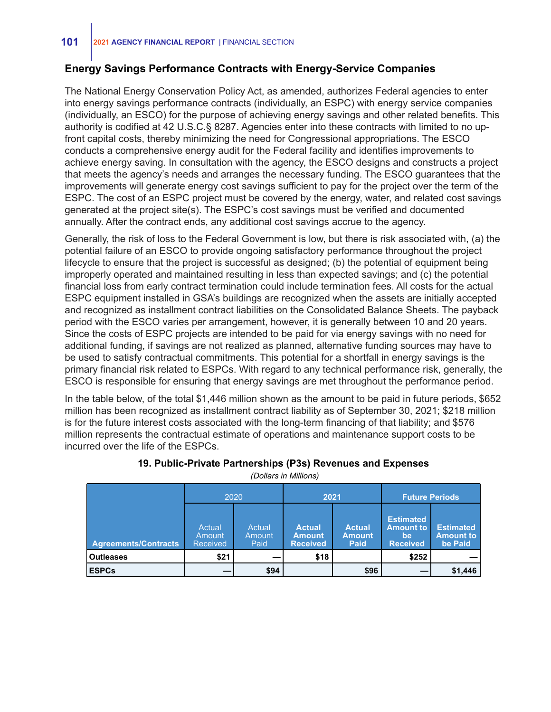### **Energy Savings Performance Contracts with Energy-Service Companies**

The National Energy Conservation Policy Act, as amended, authorizes Federal agencies to enter into energy savings performance contracts (individually, an ESPC) with energy service companies (individually, an ESCO) for the purpose of achieving energy savings and other related benefits. This authority is codified at 42 U.S.C.§ 8287. Agencies enter into these contracts with limited to no upfront capital costs, thereby minimizing the need for Congressional appropriations. The ESCO conducts a comprehensive energy audit for the Federal facility and identifies improvements to achieve energy saving. In consultation with the agency, the ESCO designs and constructs a project that meets the agency's needs and arranges the necessary funding. The ESCO guarantees that the improvements will generate energy cost savings sufficient to pay for the project over the term of the ESPC. The cost of an ESPC project must be covered by the energy, water, and related cost savings generated at the project site(s). The ESPC's cost savings must be verified and documented annually. After the contract ends, any additional cost savings accrue to the agency.

Generally, the risk of loss to the Federal Government is low, but there is risk associated with, (a) the potential failure of an ESCO to provide ongoing satisfactory performance throughout the project lifecycle to ensure that the project is successful as designed; (b) the potential of equipment being improperly operated and maintained resulting in less than expected savings; and (c) the potential financial loss from early contract termination could include termination fees. All costs for the actual ESPC equipment installed in GSA's buildings are recognized when the assets are initially accepted and recognized as installment contract liabilities on the Consolidated Balance Sheets. The payback period with the ESCO varies per arrangement, however, it is generally between 10 and 20 years. Since the costs of ESPC projects are intended to be paid for via energy savings with no need for additional funding, if savings are not realized as planned, alternative funding sources may have to be used to satisfy contractual commitments. This potential for a shortfall in energy savings is the primary financial risk related to ESPCs. With regard to any technical performance risk, generally, the ESCO is responsible for ensuring that energy savings are met throughout the performance period.

In the table below, of the total \$1,446 million shown as the amount to be paid in future periods, \$652 million has been recognized as installment contract liability as of September 30, 2021; \$218 million is for the future interest costs associated with the long-term financing of that liability; and \$576 million represents the contractual estimate of operations and maintenance support costs to be incurred over the life of the ESPCs.

|                             | 2020                                |                          | 2021                                              |                                               |                                                               | <b>Future Periods</b>                           |
|-----------------------------|-------------------------------------|--------------------------|---------------------------------------------------|-----------------------------------------------|---------------------------------------------------------------|-------------------------------------------------|
| <b>Agreements/Contracts</b> | Actual<br>Amount<br><b>Received</b> | Actual<br>Amount<br>Paid | <b>Actual</b><br><b>Amount</b><br><b>Received</b> | <b>Actual</b><br><b>Amount</b><br><b>Paid</b> | <b>Estimated</b><br><b>Amount to</b><br>be<br><b>Received</b> | <b>Estimated</b><br><b>Amount to</b><br>be Paid |
| <b>Outleases</b>            | \$21                                |                          | \$18                                              |                                               | \$252                                                         |                                                 |
| <b>ESPCs</b>                |                                     | \$94                     |                                                   | \$96                                          |                                                               | \$1,446                                         |

## **19. Public-Private Partnerships (P3s) Revenues and Expenses**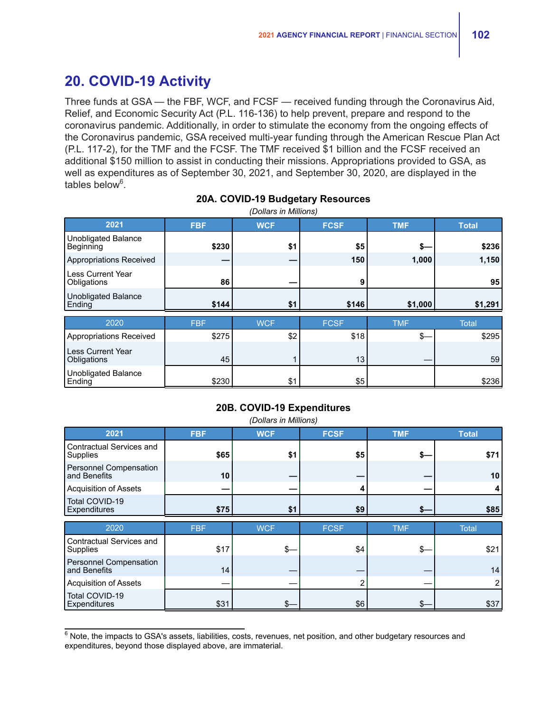## **20. COVID-19 Activity**

Three funds at GSA — the FBF, WCF, and FCSF — received funding through the Coronavirus Aid, Relief, and Economic Security Act (P.L. 116-136) to help prevent, prepare and respond to the coronavirus pandemic. Additionally, in order to stimulate the economy from the ongoing effects of the Coronavirus pandemic, GSA received multi-year funding through the American Rescue Plan Act (P.L. 117-2), for the TMF and the FCSF. The TMF received \$1 billion and the FCSF received an additional \$150 million to assist in conducting their missions. Appropriations provided to GSA, as well as expenditures as of September 30, 2021, and September 30, 2020, are displayed in the tables below<sup>6</sup>.

| 2021                                    | <b>FBF</b>          | <b>WCF</b>        | <b>FCSF</b>         | <b>TMF</b>        | <b>Total</b>          |
|-----------------------------------------|---------------------|-------------------|---------------------|-------------------|-----------------------|
| <b>Unobligated Balance</b><br>Beginning | \$230               | \$1               | \$5                 | s—                | \$236                 |
| Appropriations Received                 |                     |                   | 150                 | 1,000             | 1,150                 |
| <b>Less Current Year</b><br>Obligations | 86                  |                   | 9                   |                   | 95                    |
| <b>Unobligated Balance</b><br>Ending    | \$144               | \$1               | \$146               | \$1,000           | \$1,291               |
|                                         |                     |                   |                     |                   |                       |
|                                         |                     |                   |                     |                   |                       |
| 2020<br>Appropriations Received         | <b>FBF</b><br>\$275 | <b>WCF</b><br>\$2 | <b>FCSF</b><br>\$18 | <b>TMF</b><br>\$- | <b>Total</b><br>\$295 |
| <b>Less Current Year</b><br>Obligations | 45                  |                   | 13                  |                   | 59                    |

### **20A. COVID-19 Budgetary Resources**

### **20B. COVID-19 Expenditures**

| (Dollars in Millions)                         |            |            |             |            |              |
|-----------------------------------------------|------------|------------|-------------|------------|--------------|
| 2021                                          | <b>FBF</b> | <b>WCF</b> | <b>FCSF</b> | <b>TMF</b> | <b>Total</b> |
| Contractual Services and<br>Supplies          | \$65       | \$1        | \$5         | S-         | \$71         |
| <b>Personnel Compensation</b><br>and Benefits | 10         |            |             |            | 10           |
| <b>Acquisition of Assets</b>                  |            |            |             |            |              |
| Total COVID-19<br>Expenditures                | \$75       | \$1        | \$9         |            | \$85         |
|                                               |            |            |             |            |              |
| 2020                                          | <b>FBF</b> | <b>WCF</b> | <b>FCSF</b> | <b>TMF</b> | <b>Total</b> |
| Contractual Services and<br>Supplies          | \$17       | \$-        | \$4         | \$-        | \$21         |
| <b>Personnel Compensation</b><br>and Benefits | 14         |            |             |            | 14           |
| <b>Acquisition of Assets</b>                  |            |            | 2           |            |              |

 $6$  Note, the impacts to GSA's assets, liabilities, costs, revenues, net position, and other budgetary resources and expenditures, beyond those displayed above, are immaterial.